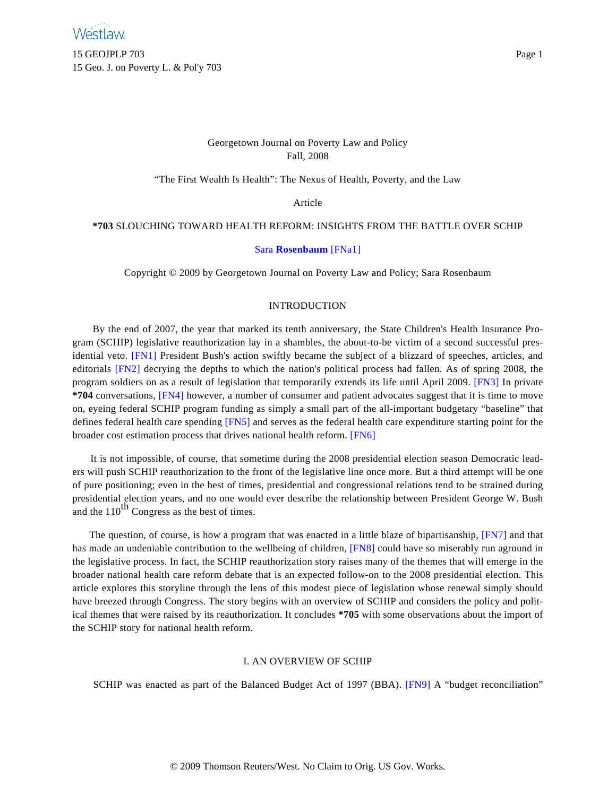15 GEOJPLP 703 Page 1 15 Geo. J. on Poverty L. & Pol'y 703

# Georgetown Journal on Poverty Law and Policy Fall, 2008

"The First Wealth Is Health": The Nexus of Health, Poverty, and the Law

Article

## <span id="page-0-0"></span>**\*703** SLOUCHING TOWARD HEALTH REFORM: INSIGHTS FROM THE BATTLE OVER SCHIP

### [Sara](http://www.westlaw.com/Find/Default.wl?rs=dfa1.0&vr=2.0&DB=PROFILER-WLD&DocName=0278597801&FindType=h) **[Rosenbaum](http://www.westlaw.com/Find/Default.wl?rs=dfa1.0&vr=2.0&DB=PROFILER-WLD&DocName=0278597801&FindType=h)** [\[FNa1\]](#page-12-0)

Copyright © 2009 by Georgetown Journal on Poverty Law and Policy; Sara Rosenbaum

### INTRODUCTION

<span id="page-0-4"></span><span id="page-0-3"></span><span id="page-0-2"></span><span id="page-0-1"></span>By the end of 2007, the year that marked its tenth anniversary, the State Children's Health Insurance Program (SCHIP) legislative reauthorization lay in a shambles, the about-to-be victim of a second successful presidential veto. [\[FN1\]](#page-12-1) President Bush's action swiftly became the subject of a blizzard of speeches, articles, and editorials [\[FN2\]](#page-12-2) decrying the depths to which the nation's political process had fallen. As of spring 2008, the program soldiers on as a result of legislation that temporarily extends its life until April 2009. [\[FN3\]](#page-12-3) In private **\*704** conversations, [\[FN4\]](#page-13-0) however, a number of consumer and patient advocates suggest that it is time to move on, eyeing federal SCHIP program funding as simply a small part of the all-important budgetary "baseline" that defines federal health care spending [\[FN5\]](#page-13-1) and serves as the federal health care expenditure starting point for the broader cost estimation process that drives national health reform. [\[FN6\]](#page-13-2)

<span id="page-0-6"></span><span id="page-0-5"></span>It is not impossible, of course, that sometime during the 2008 presidential election season Democratic leaders will push SCHIP reauthorization to the front of the legislative line once more. But a third attempt will be one of pure positioning; even in the best of times, presidential and congressional relations tend to be strained during presidential election years, and no one would ever describe the relationship between President George W. Bush and the  $110^{th}$  Congress as the best of times.

<span id="page-0-8"></span><span id="page-0-7"></span>The question, of course, is how a program that was enacted in a little blaze of bipartisanship, [\[FN7\]](#page-13-3) and that has made an undeniable contribution to the wellbeing of children, [\[FN8\]](#page-13-4) could have so miserably run aground in the legislative process. In fact, the SCHIP reauthorization story raises many of the themes that will emerge in the broader national health care reform debate that is an expected follow-on to the 2008 presidential election. This article explores this storyline through the lens of this modest piece of legislation whose renewal simply should have breezed through Congress. The story begins with an overview of SCHIP and considers the policy and political themes that were raised by its reauthorization. It concludes **\*705** with some observations about the import of the SCHIP story for national health reform.

#### I. AN OVERVIEW OF SCHIP

<span id="page-0-9"></span>SCHIP was enacted as part of the Balanced Budget Act of 1997 (BBA). [\[FN9\]](#page-13-5) A "budget reconciliation"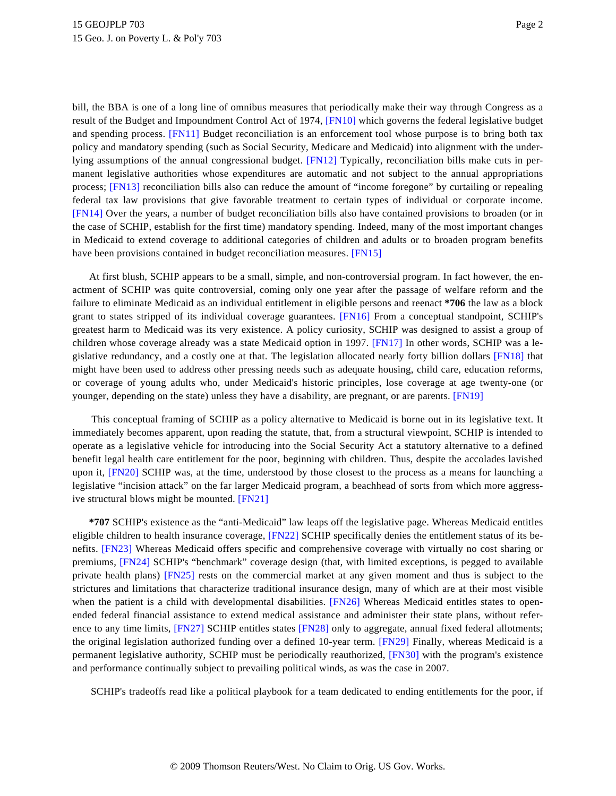<span id="page-1-3"></span><span id="page-1-2"></span><span id="page-1-1"></span><span id="page-1-0"></span>bill, the BBA is one of a long line of omnibus measures that periodically make their way through Congress as a result of the Budget and Impoundment Control Act of 1974, [\[FN10\]](#page-13-6) which governs the federal legislative budget and spending process. [\[FN11\]](#page-14-0) Budget reconciliation is an enforcement tool whose purpose is to bring both tax policy and mandatory spending (such as Social Security, Medicare and Medicaid) into alignment with the underlying assumptions of the annual congressional budget. [\[FN12\]](#page-14-1) Typically, reconciliation bills make cuts in permanent legislative authorities whose expenditures are automatic and not subject to the annual appropriations process; [\[FN13\]](#page-14-2) reconciliation bills also can reduce the amount of "income foregone" by curtailing or repealing federal tax law provisions that give favorable treatment to certain types of individual or corporate income. [\[FN14\]](#page-14-3) Over the years, a number of budget reconciliation bills also have contained provisions to broaden (or in the case of SCHIP, establish for the first time) mandatory spending. Indeed, many of the most important changes in Medicaid to extend coverage to additional categories of children and adults or to broaden program benefits have been provisions contained in budget reconciliation measures. [\[FN15\]](#page-14-4)

<span id="page-1-7"></span><span id="page-1-6"></span><span id="page-1-5"></span><span id="page-1-4"></span>At first blush, SCHIP appears to be a small, simple, and non-controversial program. In fact however, the enactment of SCHIP was quite controversial, coming only one year after the passage of welfare reform and the failure to eliminate Medicaid as an individual entitlement in eligible persons and reenact **\*706** the law as a block grant to states stripped of its individual coverage guarantees. [\[FN16\]](#page-14-5) From a conceptual standpoint, SCHIP's greatest harm to Medicaid was its very existence. A policy curiosity, SCHIP was designed to assist a group of children whose coverage already was a state Medicaid option in 1997. [\[FN17\]](#page-14-6) In other words, SCHIP was a legislative redundancy, and a costly one at that. The legislation allocated nearly forty billion dollars [\[FN18\]](#page-14-7) that might have been used to address other pressing needs such as adequate housing, child care, education reforms, or coverage of young adults who, under Medicaid's historic principles, lose coverage at age twenty-one (or younger, depending on the state) unless they have a disability, are pregnant, or are parents. [\[FN19\]](#page-14-8)

<span id="page-1-10"></span><span id="page-1-9"></span><span id="page-1-8"></span>This conceptual framing of SCHIP as a policy alternative to Medicaid is borne out in its legislative text. It immediately becomes apparent, upon reading the statute, that, from a structural viewpoint, SCHIP is intended to operate as a legislative vehicle for introducing into the Social Security Act a statutory alternative to a defined benefit legal health care entitlement for the poor, beginning with children. Thus, despite the accolades lavished upon it, [\[FN20\]](#page-14-9) SCHIP was, at the time, understood by those closest to the process as a means for launching a legislative "incision attack" on the far larger Medicaid program, a beachhead of sorts from which more aggressive structural blows might be mounted. [\[FN21\]](#page-15-0)

<span id="page-1-16"></span><span id="page-1-15"></span><span id="page-1-14"></span><span id="page-1-13"></span><span id="page-1-12"></span><span id="page-1-11"></span>**\*707** SCHIP's existence as the "anti-Medicaid" law leaps off the legislative page. Whereas Medicaid entitles eligible children to health insurance coverage, [\[FN22\]](#page-15-1) SCHIP specifically denies the entitlement status of its benefits. [\[FN23\]](#page-15-2) Whereas Medicaid offers specific and comprehensive coverage with virtually no cost sharing or premiums, [\[FN24\]](#page-15-3) SCHIP's "benchmark" coverage design (that, with limited exceptions, is pegged to available private health plans) [\[FN25\]](#page-15-4) rests on the commercial market at any given moment and thus is subject to the strictures and limitations that characterize traditional insurance design, many of which are at their most visible when the patient is a child with developmental disabilities. [\[FN26\]](#page-15-5) Whereas Medicaid entitles states to openended federal financial assistance to extend medical assistance and administer their state plans, without refer-ence to any time limits, [\[FN27\]](#page-15-6) SCHIP entitles states [\[FN28\]](#page-15-7) only to aggregate, annual fixed federal allotments; the original legislation authorized funding over a defined 10-year term. [\[FN29\]](#page-15-8) Finally, whereas Medicaid is a permanent legislative authority, SCHIP must be periodically reauthorized, [\[FN30\]](#page-15-9) with the program's existence and performance continually subject to prevailing political winds, as was the case in 2007.

<span id="page-1-19"></span><span id="page-1-18"></span><span id="page-1-17"></span>SCHIP's tradeoffs read like a political playbook for a team dedicated to ending entitlements for the poor, if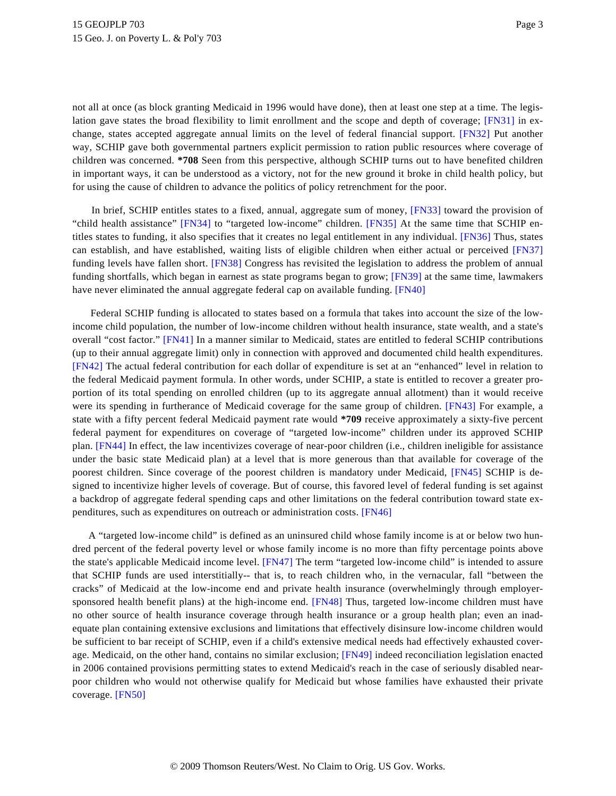<span id="page-2-1"></span><span id="page-2-0"></span>not all at once (as block granting Medicaid in 1996 would have done), then at least one step at a time. The legislation gave states the broad flexibility to limit enrollment and the scope and depth of coverage; [\[FN31\]](#page-15-10) in exchange, states accepted aggregate annual limits on the level of federal financial support. [\[FN32\]](#page-15-11) Put another way, SCHIP gave both governmental partners explicit permission to ration public resources where coverage of children was concerned. **\*708** Seen from this perspective, although SCHIP turns out to have benefited children in important ways, it can be understood as a victory, not for the new ground it broke in child health policy, but for using the cause of children to advance the politics of policy retrenchment for the poor.

<span id="page-2-6"></span><span id="page-2-5"></span><span id="page-2-4"></span><span id="page-2-3"></span><span id="page-2-2"></span>In brief, SCHIP entitles states to a fixed, annual, aggregate sum of money, [\[FN33\]](#page-15-12) toward the provision of "child health assistance" [\[FN34\]](#page-15-13) to "targeted low-income" children. [\[FN35\]](#page-15-14) At the same time that SCHIP entitles states to funding, it also specifies that it creates no legal entitlement in any individual. [\[FN36\]](#page-15-15) Thus, states can establish, and have established, waiting lists of eligible children when either actual or perceived [\[FN37\]](#page-15-16) funding levels have fallen short. [\[FN38\]](#page-16-0) Congress has revisited the legislation to address the problem of annual funding shortfalls, which began in earnest as state programs began to grow; [\[FN39\]](#page-16-1) at the same time, lawmakers have never eliminated the annual aggregate federal cap on available funding. [\[FN40\]](#page-16-2)

<span id="page-2-11"></span><span id="page-2-10"></span><span id="page-2-9"></span><span id="page-2-8"></span><span id="page-2-7"></span>Federal SCHIP funding is allocated to states based on a formula that takes into account the size of the lowincome child population, the number of low-income children without health insurance, state wealth, and a state's overall "cost factor." [\[FN41\]](#page-16-3) In a manner similar to Medicaid, states are entitled to federal SCHIP contributions (up to their annual aggregate limit) only in connection with approved and documented child health expenditures. [\[FN42\]](#page-16-4) The actual federal contribution for each dollar of expenditure is set at an "enhanced" level in relation to the federal Medicaid payment formula. In other words, under SCHIP, a state is entitled to recover a greater proportion of its total spending on enrolled children (up to its aggregate annual allotment) than it would receive were its spending in furtherance of Medicaid coverage for the same group of children. [\[FN43\]](#page-16-5) For example, a state with a fifty percent federal Medicaid payment rate would **\*709** receive approximately a sixty-five percent federal payment for expenditures on coverage of "targeted low-income" children under its approved SCHIP plan. [\[FN44\]](#page-16-6) In effect, the law incentivizes coverage of near-poor children (i.e., children ineligible for assistance under the basic state Medicaid plan) at a level that is more generous than that available for coverage of the poorest children. Since coverage of the poorest children is mandatory under Medicaid, [\[FN45\]](#page-16-7) SCHIP is designed to incentivize higher levels of coverage. But of course, this favored level of federal funding is set against a backdrop of aggregate federal spending caps and other limitations on the federal contribution toward state expenditures, such as expenditures on outreach or administration costs. [\[FN46\]](#page-16-8)

<span id="page-2-18"></span><span id="page-2-17"></span><span id="page-2-16"></span><span id="page-2-15"></span><span id="page-2-14"></span><span id="page-2-13"></span><span id="page-2-12"></span>A "targeted low-income child" is defined as an uninsured child whose family income is at or below two hundred percent of the federal poverty level or whose family income is no more than fifty percentage points above the state's applicable Medicaid income level. [\[FN47\]](#page-16-9) The term "targeted low-income child" is intended to assure that SCHIP funds are used interstitially-- that is, to reach children who, in the vernacular, fall "between the cracks" of Medicaid at the low-income end and private health insurance (overwhelmingly through employer-sponsored health benefit plans) at the high-income end. [\[FN48\]](#page-16-10) Thus, targeted low-income children must have no other source of health insurance coverage through health insurance or a group health plan; even an inadequate plan containing extensive exclusions and limitations that effectively disinsure low-income children would be sufficient to bar receipt of SCHIP, even if a child's extensive medical needs had effectively exhausted coverage. Medicaid, on the other hand, contains no similar exclusion; [\[FN49\]](#page-16-11) indeed reconciliation legislation enacted in 2006 contained provisions permitting states to extend Medicaid's reach in the case of seriously disabled nearpoor children who would not otherwise qualify for Medicaid but whose families have exhausted their private coverage. [\[FN50\]](#page-16-12)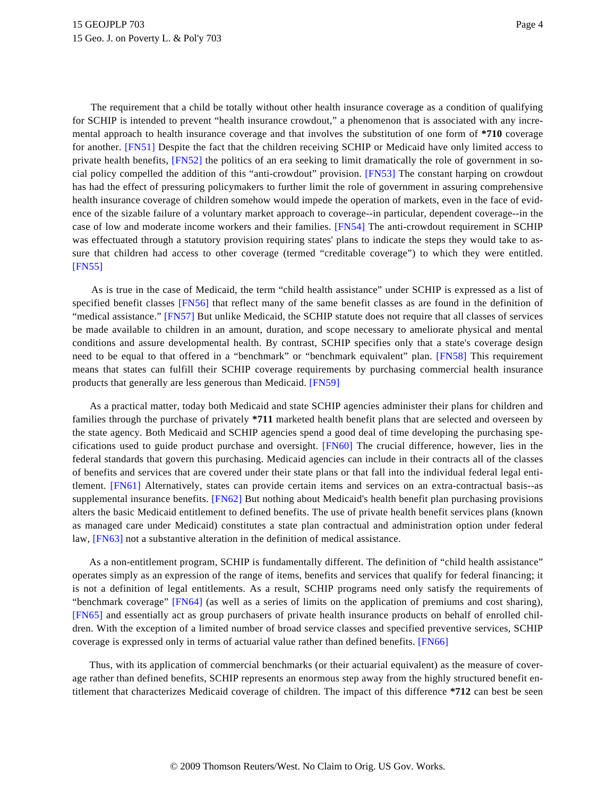<span id="page-3-2"></span><span id="page-3-1"></span><span id="page-3-0"></span>The requirement that a child be totally without other health insurance coverage as a condition of qualifying for SCHIP is intended to prevent "health insurance crowdout," a phenomenon that is associated with any incremental approach to health insurance coverage and that involves the substitution of one form of **\*710** coverage for another. [\[FN51\]](#page-16-13) Despite the fact that the children receiving SCHIP or Medicaid have only limited access to private health benefits, [\[FN52\]](#page-16-14) the politics of an era seeking to limit dramatically the role of government in social policy compelled the addition of this "anti-crowdout" provision. [\[FN53\]](#page-17-0) The constant harping on crowdout has had the effect of pressuring policymakers to further limit the role of government in assuring comprehensive health insurance coverage of children somehow would impede the operation of markets, even in the face of evidence of the sizable failure of a voluntary market approach to coverage--in particular, dependent coverage--in the case of low and moderate income workers and their families. [\[FN54\]](#page-17-1) The anti-crowdout requirement in SCHIP was effectuated through a statutory provision requiring states' plans to indicate the steps they would take to assure that children had access to other coverage (termed "creditable coverage") to which they were entitled. [\[FN55\]](#page-17-2)

<span id="page-3-6"></span><span id="page-3-5"></span><span id="page-3-4"></span><span id="page-3-3"></span>As is true in the case of Medicaid, the term "child health assistance" under SCHIP is expressed as a list of specified benefit classes [\[FN56\]](#page-17-3) that reflect many of the same benefit classes as are found in the definition of "medical assistance." [\[FN57\]](#page-17-4) But unlike Medicaid, the SCHIP statute does not require that all classes of services be made available to children in an amount, duration, and scope necessary to ameliorate physical and mental conditions and assure developmental health. By contrast, SCHIP specifies only that a state's coverage design need to be equal to that offered in a "benchmark" or "benchmark equivalent" plan. [\[FN58\]](#page-17-5) This requirement means that states can fulfill their SCHIP coverage requirements by purchasing commercial health insurance products that generally are less generous than Medicaid. [\[FN59\]](#page-17-6)

<span id="page-3-10"></span><span id="page-3-9"></span><span id="page-3-8"></span><span id="page-3-7"></span>As a practical matter, today both Medicaid and state SCHIP agencies administer their plans for children and families through the purchase of privately **\*711** marketed health benefit plans that are selected and overseen by the state agency. Both Medicaid and SCHIP agencies spend a good deal of time developing the purchasing specifications used to guide product purchase and oversight. [\[FN60\]](#page-17-7) The crucial difference, however, lies in the federal standards that govern this purchasing. Medicaid agencies can include in their contracts all of the classes of benefits and services that are covered under their state plans or that fall into the individual federal legal entitlement. [\[FN61\]](#page-17-8) Alternatively, states can provide certain items and services on an extra-contractual basis--as supplemental insurance benefits. [\[FN62\]](#page-17-9) But nothing about Medicaid's health benefit plan purchasing provisions alters the basic Medicaid entitlement to defined benefits. The use of private health benefit services plans (known as managed care under Medicaid) constitutes a state plan contractual and administration option under federal law, [\[FN63\]](#page-17-10) not a substantive alteration in the definition of medical assistance.

<span id="page-3-14"></span><span id="page-3-13"></span><span id="page-3-12"></span><span id="page-3-11"></span>As a non-entitlement program, SCHIP is fundamentally different. The definition of "child health assistance" operates simply as an expression of the range of items, benefits and services that qualify for federal financing; it is not a definition of legal entitlements. As a result, SCHIP programs need only satisfy the requirements of "benchmark coverage" [\[FN64\]](#page-17-11) (as well as a series of limits on the application of premiums and cost sharing), [\[FN65\]](#page-17-12) and essentially act as group purchasers of private health insurance products on behalf of enrolled children. With the exception of a limited number of broad service classes and specified preventive services, SCHIP coverage is expressed only in terms of actuarial value rather than defined benefits. [\[FN66\]](#page-17-13)

<span id="page-3-15"></span>Thus, with its application of commercial benchmarks (or their actuarial equivalent) as the measure of coverage rather than defined benefits, SCHIP represents an enormous step away from the highly structured benefit entitlement that characterizes Medicaid coverage of children. The impact of this difference **\*712** can best be seen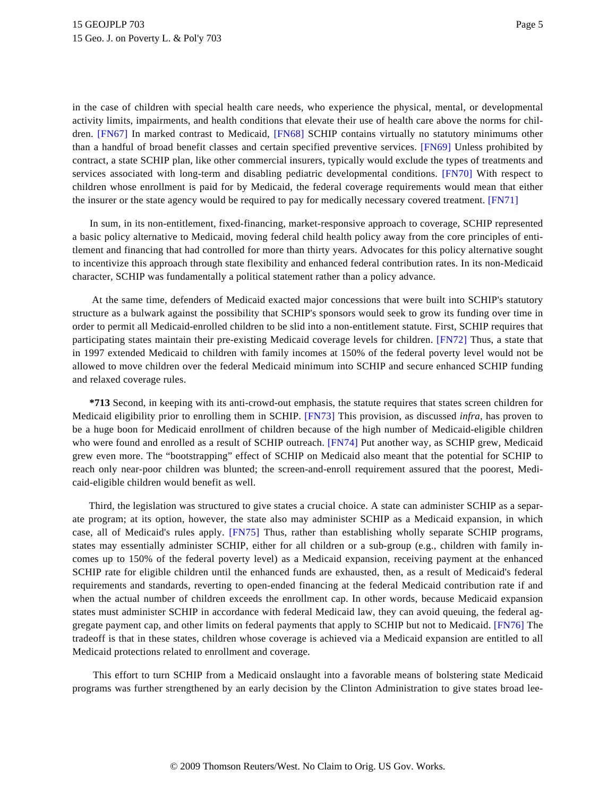<span id="page-4-1"></span><span id="page-4-0"></span>in the case of children with special health care needs, who experience the physical, mental, or developmental activity limits, impairments, and health conditions that elevate their use of health care above the norms for children. [\[FN67\]](#page-17-14) In marked contrast to Medicaid, [\[FN68\]](#page-18-0) SCHIP contains virtually no statutory minimums other than a handful of broad benefit classes and certain specified preventive services. [\[FN69\]](#page-18-1) Unless prohibited by contract, a state SCHIP plan, like other commercial insurers, typically would exclude the types of treatments and services associated with long-term and disabling pediatric developmental conditions. [\[FN70\]](#page-18-2) With respect to children whose enrollment is paid for by Medicaid, the federal coverage requirements would mean that either the insurer or the state agency would be required to pay for medically necessary covered treatment. [\[FN71\]](#page-18-3)

<span id="page-4-3"></span><span id="page-4-2"></span>In sum, in its non-entitlement, fixed-financing, market-responsive approach to coverage, SCHIP represented a basic policy alternative to Medicaid, moving federal child health policy away from the core principles of entitlement and financing that had controlled for more than thirty years. Advocates for this policy alternative sought to incentivize this approach through state flexibility and enhanced federal contribution rates. In its non-Medicaid character, SCHIP was fundamentally a political statement rather than a policy advance.

<span id="page-4-4"></span>At the same time, defenders of Medicaid exacted major concessions that were built into SCHIP's statutory structure as a bulwark against the possibility that SCHIP's sponsors would seek to grow its funding over time in order to permit all Medicaid-enrolled children to be slid into a non-entitlement statute. First, SCHIP requires that participating states maintain their pre-existing Medicaid coverage levels for children. [\[FN72\]](#page-18-4) Thus, a state that in 1997 extended Medicaid to children with family incomes at 150% of the federal poverty level would not be allowed to move children over the federal Medicaid minimum into SCHIP and secure enhanced SCHIP funding and relaxed coverage rules.

<span id="page-4-6"></span><span id="page-4-5"></span>**\*713** Second, in keeping with its anti-crowd-out emphasis, the statute requires that states screen children for Medicaid eligibility prior to enrolling them in SCHIP. [\[FN73\]](#page-18-5) This provision, as discussed *infra*, has proven to be a huge boon for Medicaid enrollment of children because of the high number of Medicaid-eligible children who were found and enrolled as a result of SCHIP outreach. [\[FN74\]](#page-18-6) Put another way, as SCHIP grew, Medicaid grew even more. The "bootstrapping" effect of SCHIP on Medicaid also meant that the potential for SCHIP to reach only near-poor children was blunted; the screen-and-enroll requirement assured that the poorest, Medicaid-eligible children would benefit as well.

<span id="page-4-7"></span>Third, the legislation was structured to give states a crucial choice. A state can administer SCHIP as a separate program; at its option, however, the state also may administer SCHIP as a Medicaid expansion, in which case, all of Medicaid's rules apply. [\[FN75\]](#page-18-7) Thus, rather than establishing wholly separate SCHIP programs, states may essentially administer SCHIP, either for all children or a sub-group (e.g., children with family incomes up to 150% of the federal poverty level) as a Medicaid expansion, receiving payment at the enhanced SCHIP rate for eligible children until the enhanced funds are exhausted, then, as a result of Medicaid's federal requirements and standards, reverting to open-ended financing at the federal Medicaid contribution rate if and when the actual number of children exceeds the enrollment cap. In other words, because Medicaid expansion states must administer SCHIP in accordance with federal Medicaid law, they can avoid queuing, the federal aggregate payment cap, and other limits on federal payments that apply to SCHIP but not to Medicaid. [\[FN76\]](#page-18-8) The tradeoff is that in these states, children whose coverage is achieved via a Medicaid expansion are entitled to all Medicaid protections related to enrollment and coverage.

<span id="page-4-8"></span>This effort to turn SCHIP from a Medicaid onslaught into a favorable means of bolstering state Medicaid programs was further strengthened by an early decision by the Clinton Administration to give states broad lee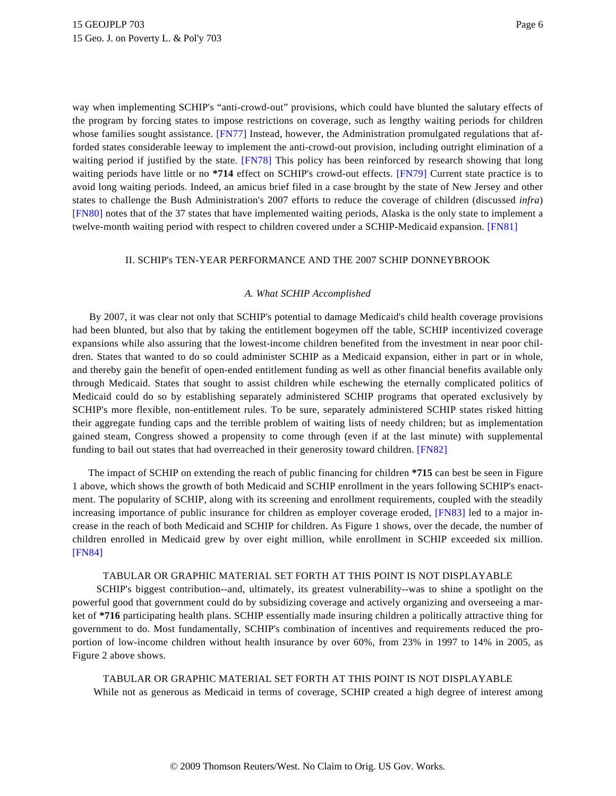<span id="page-5-2"></span><span id="page-5-1"></span><span id="page-5-0"></span>way when implementing SCHIP's "anti-crowd-out" provisions, which could have blunted the salutary effects of the program by forcing states to impose restrictions on coverage, such as lengthy waiting periods for children whose families sought assistance. [\[FN77\]](#page-18-9) Instead, however, the Administration promulgated regulations that afforded states considerable leeway to implement the anti-crowd-out provision, including outright elimination of a waiting period if justified by the state. [\[FN78\]](#page-18-10) This policy has been reinforced by research showing that long waiting periods have little or no **\*714** effect on SCHIP's crowd-out effects. [\[FN79\]](#page-18-11) Current state practice is to avoid long waiting periods. Indeed, an amicus brief filed in a case brought by the state of New Jersey and other states to challenge the Bush Administration's 2007 efforts to reduce the coverage of children (discussed *infra*) [\[FN80\]](#page-18-12) notes that of the 37 states that have implemented waiting periods, Alaska is the only state to implement a twelve-month waiting period with respect to children covered under a SCHIP-Medicaid expansion. [\[FN81\]](#page-18-13)

# <span id="page-5-4"></span><span id="page-5-3"></span>II. SCHIP's TEN-YEAR PERFORMANCE AND THE 2007 SCHIP DONNEYBROOK

### *A. What SCHIP Accomplished*

By 2007, it was clear not only that SCHIP's potential to damage Medicaid's child health coverage provisions had been blunted, but also that by taking the entitlement bogeymen off the table, SCHIP incentivized coverage expansions while also assuring that the lowest-income children benefited from the investment in near poor children. States that wanted to do so could administer SCHIP as a Medicaid expansion, either in part or in whole, and thereby gain the benefit of open-ended entitlement funding as well as other financial benefits available only through Medicaid. States that sought to assist children while eschewing the eternally complicated politics of Medicaid could do so by establishing separately administered SCHIP programs that operated exclusively by SCHIP's more flexible, non-entitlement rules. To be sure, separately administered SCHIP states risked hitting their aggregate funding caps and the terrible problem of waiting lists of needy children; but as implementation gained steam, Congress showed a propensity to come through (even if at the last minute) with supplemental funding to bail out states that had overreached in their generosity toward children. [\[FN82\]](#page-19-0)

<span id="page-5-6"></span><span id="page-5-5"></span>The impact of SCHIP on extending the reach of public financing for children **\*715** can best be seen in Figure 1 above, which shows the growth of both Medicaid and SCHIP enrollment in the years following SCHIP's enactment. The popularity of SCHIP, along with its screening and enrollment requirements, coupled with the steadily increasing importance of public insurance for children as employer coverage eroded, [\[FN83\]](#page-19-1) led to a major increase in the reach of both Medicaid and SCHIP for children. As Figure 1 shows, over the decade, the number of children enrolled in Medicaid grew by over eight million, while enrollment in SCHIP exceeded six million. [\[FN84\]](#page-19-2)

### TABULAR OR GRAPHIC MATERIAL SET FORTH AT THIS POINT IS NOT DISPLAYABLE

<span id="page-5-7"></span>SCHIP's biggest contribution--and, ultimately, its greatest vulnerability--was to shine a spotlight on the powerful good that government could do by subsidizing coverage and actively organizing and overseeing a market of **\*716** participating health plans. SCHIP essentially made insuring children a politically attractive thing for government to do. Most fundamentally, SCHIP's combination of incentives and requirements reduced the proportion of low-income children without health insurance by over 60%, from 23% in 1997 to 14% in 2005, as Figure 2 above shows.

TABULAR OR GRAPHIC MATERIAL SET FORTH AT THIS POINT IS NOT DISPLAYABLE While not as generous as Medicaid in terms of coverage, SCHIP created a high degree of interest among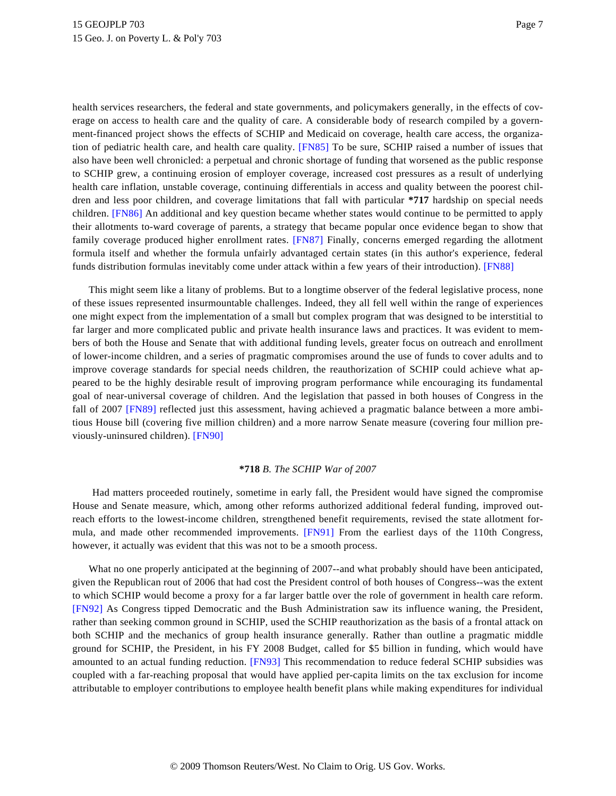<span id="page-6-0"></span>health services researchers, the federal and state governments, and policymakers generally, in the effects of coverage on access to health care and the quality of care. A considerable body of research compiled by a government-financed project shows the effects of SCHIP and Medicaid on coverage, health care access, the organization of pediatric health care, and health care quality. [\[FN85\]](#page-19-3) To be sure, SCHIP raised a number of issues that also have been well chronicled: a perpetual and chronic shortage of funding that worsened as the public response to SCHIP grew, a continuing erosion of employer coverage, increased cost pressures as a result of underlying health care inflation, unstable coverage, continuing differentials in access and quality between the poorest children and less poor children, and coverage limitations that fall with particular **\*717** hardship on special needs children. [\[FN86\]](#page-19-4) An additional and key question became whether states would continue to be permitted to apply their allotments to-ward coverage of parents, a strategy that became popular once evidence began to show that family coverage produced higher enrollment rates. [\[FN87\]](#page-19-5) Finally, concerns emerged regarding the allotment formula itself and whether the formula unfairly advantaged certain states (in this author's experience, federal funds distribution formulas inevitably come under attack within a few years of their introduction). [\[FN88\]](#page-19-6)

<span id="page-6-3"></span><span id="page-6-2"></span><span id="page-6-1"></span>This might seem like a litany of problems. But to a longtime observer of the federal legislative process, none of these issues represented insurmountable challenges. Indeed, they all fell well within the range of experiences one might expect from the implementation of a small but complex program that was designed to be interstitial to far larger and more complicated public and private health insurance laws and practices. It was evident to members of both the House and Senate that with additional funding levels, greater focus on outreach and enrollment of lower-income children, and a series of pragmatic compromises around the use of funds to cover adults and to improve coverage standards for special needs children, the reauthorization of SCHIP could achieve what appeared to be the highly desirable result of improving program performance while encouraging its fundamental goal of near-universal coverage of children. And the legislation that passed in both houses of Congress in the fall of 2007 [\[FN89\]](#page-19-7) reflected just this assessment, having achieved a pragmatic balance between a more ambitious House bill (covering five million children) and a more narrow Senate measure (covering four million previously-uninsured children). [\[FN90\]](#page-19-8)

#### **\*718** *B. The SCHIP War of 2007*

<span id="page-6-6"></span><span id="page-6-5"></span><span id="page-6-4"></span>Had matters proceeded routinely, sometime in early fall, the President would have signed the compromise House and Senate measure, which, among other reforms authorized additional federal funding, improved outreach efforts to the lowest-income children, strengthened benefit requirements, revised the state allotment for-mula, and made other recommended improvements. [\[FN91\]](#page-20-0) From the earliest days of the 110th Congress, however, it actually was evident that this was not to be a smooth process.

<span id="page-6-8"></span><span id="page-6-7"></span>What no one properly anticipated at the beginning of 2007--and what probably should have been anticipated, given the Republican rout of 2006 that had cost the President control of both houses of Congress--was the extent to which SCHIP would become a proxy for a far larger battle over the role of government in health care reform. [\[FN92\]](#page-20-1) As Congress tipped Democratic and the Bush Administration saw its influence waning, the President, rather than seeking common ground in SCHIP, used the SCHIP reauthorization as the basis of a frontal attack on both SCHIP and the mechanics of group health insurance generally. Rather than outline a pragmatic middle ground for SCHIP, the President, in his FY 2008 Budget, called for \$5 billion in funding, which would have amounted to an actual funding reduction. [\[FN93\]](#page-20-2) This recommendation to reduce federal SCHIP subsidies was coupled with a far-reaching proposal that would have applied per-capita limits on the tax exclusion for income attributable to employer contributions to employee health benefit plans while making expenditures for individual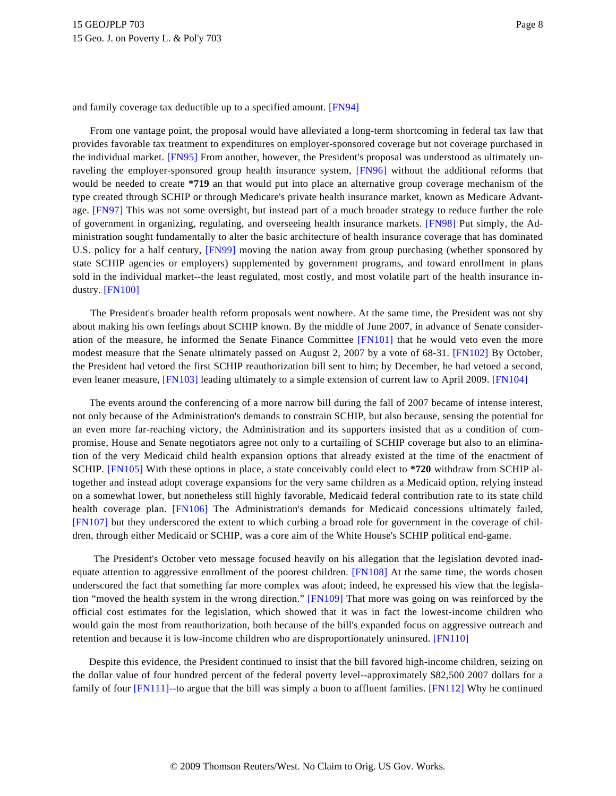<span id="page-7-0"></span>and family coverage tax deductible up to a specified amount. [\[FN94\]](#page-20-3)

<span id="page-7-4"></span><span id="page-7-3"></span><span id="page-7-2"></span><span id="page-7-1"></span>From one vantage point, the proposal would have alleviated a long-term shortcoming in federal tax law that provides favorable tax treatment to expenditures on employer-sponsored coverage but not coverage purchased in the individual market. [\[FN95\]](#page-20-4) From another, however, the President's proposal was understood as ultimately unraveling the employer-sponsored group health insurance system, [\[FN96\]](#page-20-5) without the additional reforms that would be needed to create **\*719** an that would put into place an alternative group coverage mechanism of the type created through SCHIP or through Medicare's private health insurance market, known as Medicare Advantage. [\[FN97\]](#page-20-6) This was not some oversight, but instead part of a much broader strategy to reduce further the role of government in organizing, regulating, and overseeing health insurance markets. [\[FN98\]](#page-20-7) Put simply, the Administration sought fundamentally to alter the basic architecture of health insurance coverage that has dominated U.S. policy for a half century, [\[FN99\]](#page-20-8) moving the nation away from group purchasing (whether sponsored by state SCHIP agencies or employers) supplemented by government programs, and toward enrollment in plans sold in the individual market--the least regulated, most costly, and most volatile part of the health insurance industry. [\[FN100\]](#page-20-9)

<span id="page-7-8"></span><span id="page-7-7"></span><span id="page-7-6"></span><span id="page-7-5"></span>The President's broader health reform proposals went nowhere. At the same time, the President was not shy about making his own feelings about SCHIP known. By the middle of June 2007, in advance of Senate consideration of the measure, he informed the Senate Finance Committee [\[FN101\]](#page-20-10) that he would veto even the more modest measure that the Senate ultimately passed on August 2, 2007 by a vote of 68-31. [\[FN102\]](#page-20-11) By October, the President had vetoed the first SCHIP reauthorization bill sent to him; by December, he had vetoed a second, even leaner measure, [\[FN103\]](#page-20-12) leading ultimately to a simple extension of current law to April 2009. [\[FN104\]](#page-20-13)

<span id="page-7-10"></span><span id="page-7-9"></span>The events around the conferencing of a more narrow bill during the fall of 2007 became of intense interest, not only because of the Administration's demands to constrain SCHIP, but also because, sensing the potential for an even more far-reaching victory, the Administration and its supporters insisted that as a condition of compromise, House and Senate negotiators agree not only to a curtailing of SCHIP coverage but also to an elimination of the very Medicaid child health expansion options that already existed at the time of the enactment of SCHIP. [\[FN105\]](#page-20-14) With these options in place, a state conceivably could elect to **\*720** withdraw from SCHIP altogether and instead adopt coverage expansions for the very same children as a Medicaid option, relying instead on a somewhat lower, but nonetheless still highly favorable, Medicaid federal contribution rate to its state child health coverage plan. [\[FN106\]](#page-21-0) The Administration's demands for Medicaid concessions ultimately failed, [\[FN107\]](#page-21-1) but they underscored the extent to which curbing a broad role for government in the coverage of children, through either Medicaid or SCHIP, was a core aim of the White House's SCHIP political end-game.

<span id="page-7-14"></span><span id="page-7-13"></span><span id="page-7-12"></span><span id="page-7-11"></span>The President's October veto message focused heavily on his allegation that the legislation devoted inad-equate attention to aggressive enrollment of the poorest children. [\[FN108\]](#page-21-2) At the same time, the words chosen underscored the fact that something far more complex was afoot; indeed, he expressed his view that the legislation "moved the health system in the wrong direction." [\[FN109\]](#page-21-3) That more was going on was reinforced by the official cost estimates for the legislation, which showed that it was in fact the lowest-income children who would gain the most from reauthorization, both because of the bill's expanded focus on aggressive outreach and retention and because it is low-income children who are disproportionately uninsured. [\[FN110\]](#page-21-4)

<span id="page-7-16"></span><span id="page-7-15"></span>Despite this evidence, the President continued to insist that the bill favored high-income children, seizing on the dollar value of four hundred percent of the federal poverty level--approximately \$82,500 2007 dollars for a family of four [\[FN111\]](#page-21-5)--to argue that the bill was simply a boon to affluent families. [\[FN112\]](#page-21-6) Why he continued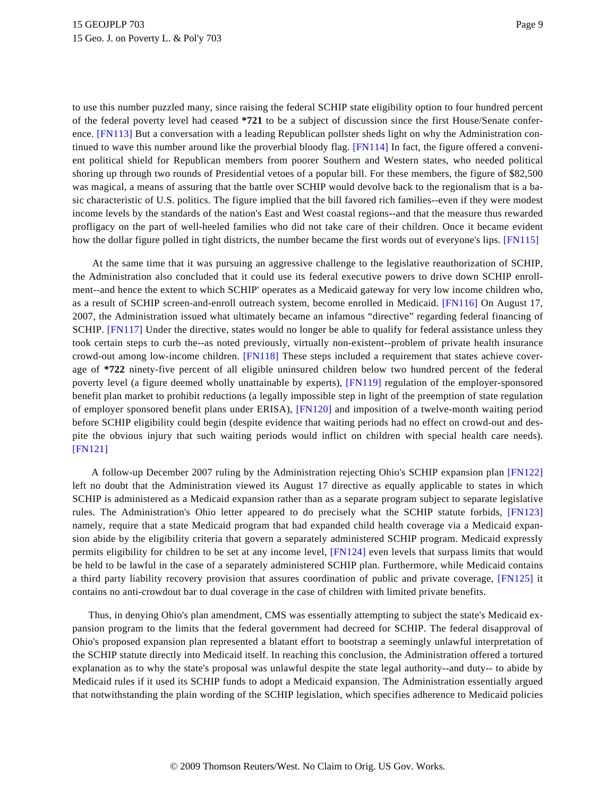<span id="page-8-1"></span><span id="page-8-0"></span>to use this number puzzled many, since raising the federal SCHIP state eligibility option to four hundred percent of the federal poverty level had ceased **\*721** to be a subject of discussion since the first House/Senate conference. [\[FN113\]](#page-21-7) But a conversation with a leading Republican pollster sheds light on why the Administration continued to wave this number around like the proverbial bloody flag. [\[FN114\]](#page-21-8) In fact, the figure offered a convenient political shield for Republican members from poorer Southern and Western states, who needed political shoring up through two rounds of Presidential vetoes of a popular bill. For these members, the figure of \$82,500 was magical, a means of assuring that the battle over SCHIP would devolve back to the regionalism that is a basic characteristic of U.S. politics. The figure implied that the bill favored rich families--even if they were modest income levels by the standards of the nation's East and West coastal regions--and that the measure thus rewarded profligacy on the part of well-heeled families who did not take care of their children. Once it became evident how the dollar figure polled in tight districts, the number became the first words out of everyone's lips. [\[FN115\]](#page-21-9)

<span id="page-8-5"></span><span id="page-8-4"></span><span id="page-8-3"></span><span id="page-8-2"></span>At the same time that it was pursuing an aggressive challenge to the legislative reauthorization of SCHIP, the Administration also concluded that it could use its federal executive powers to drive down SCHIP enrollment--and hence the extent to which SCHIP' operates as a Medicaid gateway for very low income children who, as a result of SCHIP screen-and-enroll outreach system, become enrolled in Medicaid. [\[FN116\]](#page-21-10) On August 17, 2007, the Administration issued what ultimately became an infamous "directive" regarding federal financing of SCHIP. [\[FN117\]](#page-22-0) Under the directive, states would no longer be able to qualify for federal assistance unless they took certain steps to curb the--as noted previously, virtually non-existent--problem of private health insurance crowd-out among low-income children. [\[FN118\]](#page-22-1) These steps included a requirement that states achieve coverage of **\*722** ninety-five percent of all eligible uninsured children below two hundred percent of the federal poverty level (a figure deemed wholly unattainable by experts), [\[FN119\]](#page-22-2) regulation of the employer-sponsored benefit plan market to prohibit reductions (a legally impossible step in light of the preemption of state regulation of employer sponsored benefit plans under ERISA), [\[FN120\]](#page-22-3) and imposition of a twelve-month waiting period before SCHIP eligibility could begin (despite evidence that waiting periods had no effect on crowd-out and despite the obvious injury that such waiting periods would inflict on children with special health care needs). [\[FN121\]](#page-22-4)

<span id="page-8-10"></span><span id="page-8-9"></span><span id="page-8-8"></span><span id="page-8-7"></span><span id="page-8-6"></span>A follow-up December 2007 ruling by the Administration rejecting Ohio's SCHIP expansion plan [\[FN122\]](#page-22-5) left no doubt that the Administration viewed its August 17 directive as equally applicable to states in which SCHIP is administered as a Medicaid expansion rather than as a separate program subject to separate legislative rules. The Administration's Ohio letter appeared to do precisely what the SCHIP statute forbids, [\[FN123\]](#page-22-6) namely, require that a state Medicaid program that had expanded child health coverage via a Medicaid expansion abide by the eligibility criteria that govern a separately administered SCHIP program. Medicaid expressly permits eligibility for children to be set at any income level, [\[FN124\]](#page-22-7) even levels that surpass limits that would be held to be lawful in the case of a separately administered SCHIP plan. Furthermore, while Medicaid contains a third party liability recovery provision that assures coordination of public and private coverage, [\[FN125\]](#page-22-8) it contains no anti-crowdout bar to dual coverage in the case of children with limited private benefits.

<span id="page-8-12"></span><span id="page-8-11"></span>Thus, in denying Ohio's plan amendment, CMS was essentially attempting to subject the state's Medicaid expansion program to the limits that the federal government had decreed for SCHIP. The federal disapproval of Ohio's proposed expansion plan represented a blatant effort to bootstrap a seemingly unlawful interpretation of the SCHIP statute directly into Medicaid itself. In reaching this conclusion, the Administration offered a tortured explanation as to why the state's proposal was unlawful despite the state legal authority--and duty-- to abide by Medicaid rules if it used its SCHIP funds to adopt a Medicaid expansion. The Administration essentially argued that notwithstanding the plain wording of the SCHIP legislation, which specifies adherence to Medicaid policies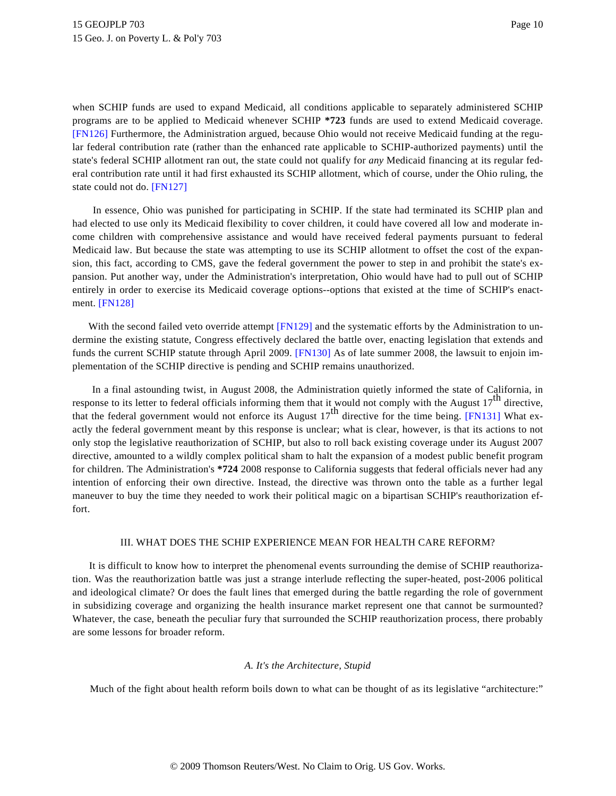<span id="page-9-0"></span>when SCHIP funds are used to expand Medicaid, all conditions applicable to separately administered SCHIP programs are to be applied to Medicaid whenever SCHIP **\*723** funds are used to extend Medicaid coverage. [\[FN126\]](#page-22-9) Furthermore, the Administration argued, because Ohio would not receive Medicaid funding at the regular federal contribution rate (rather than the enhanced rate applicable to SCHIP-authorized payments) until the state's federal SCHIP allotment ran out, the state could not qualify for *any* Medicaid financing at its regular federal contribution rate until it had first exhausted its SCHIP allotment, which of course, under the Ohio ruling, the state could not do. [\[FN127\]](#page-22-10)

<span id="page-9-1"></span>In essence, Ohio was punished for participating in SCHIP. If the state had terminated its SCHIP plan and had elected to use only its Medicaid flexibility to cover children, it could have covered all low and moderate income children with comprehensive assistance and would have received federal payments pursuant to federal Medicaid law. But because the state was attempting to use its SCHIP allotment to offset the cost of the expansion, this fact, according to CMS, gave the federal government the power to step in and prohibit the state's expansion. Put another way, under the Administration's interpretation, Ohio would have had to pull out of SCHIP entirely in order to exercise its Medicaid coverage options--options that existed at the time of SCHIP's enactment. [\[FN128\]](#page-22-11)

<span id="page-9-4"></span><span id="page-9-3"></span><span id="page-9-2"></span>With the second failed veto override attempt [\[FN129\]](#page-22-12) and the systematic efforts by the Administration to undermine the existing statute, Congress effectively declared the battle over, enacting legislation that extends and funds the current SCHIP statute through April 2009. [\[FN130\]](#page-22-13) As of late summer 2008, the lawsuit to enjoin implementation of the SCHIP directive is pending and SCHIP remains unauthorized.

<span id="page-9-5"></span>In a final astounding twist, in August 2008, the Administration quietly informed the state of California, in response to its letter to federal officials informing them that it would not comply with the August  $17<sup>th</sup>$  directive, that the federal government would not enforce its August  $17^{th}$  directive for the time being. [\[FN131\]](#page-22-14) What exactly the federal government meant by this response is unclear; what is clear, however, is that its actions to not only stop the legislative reauthorization of SCHIP, but also to roll back existing coverage under its August 2007 directive, amounted to a wildly complex political sham to halt the expansion of a modest public benefit program for children. The Administration's **\*724** 2008 response to California suggests that federal officials never had any intention of enforcing their own directive. Instead, the directive was thrown onto the table as a further legal maneuver to buy the time they needed to work their political magic on a bipartisan SCHIP's reauthorization effort.

## III. WHAT DOES THE SCHIP EXPERIENCE MEAN FOR HEALTH CARE REFORM?

It is difficult to know how to interpret the phenomenal events surrounding the demise of SCHIP reauthorization. Was the reauthorization battle was just a strange interlude reflecting the super-heated, post-2006 political and ideological climate? Or does the fault lines that emerged during the battle regarding the role of government in subsidizing coverage and organizing the health insurance market represent one that cannot be surmounted? Whatever, the case, beneath the peculiar fury that surrounded the SCHIP reauthorization process, there probably are some lessons for broader reform.

#### *A. It's the Architecture, Stupid*

Much of the fight about health reform boils down to what can be thought of as its legislative "architecture:"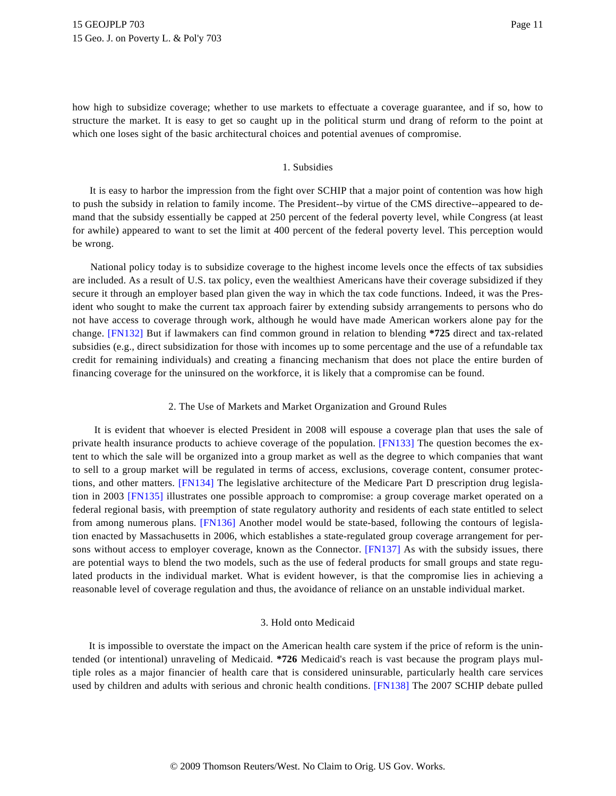how high to subsidize coverage; whether to use markets to effectuate a coverage guarantee, and if so, how to structure the market. It is easy to get so caught up in the political sturm und drang of reform to the point at which one loses sight of the basic architectural choices and potential avenues of compromise.

#### 1. Subsidies

It is easy to harbor the impression from the fight over SCHIP that a major point of contention was how high to push the subsidy in relation to family income. The President--by virtue of the CMS directive--appeared to demand that the subsidy essentially be capped at 250 percent of the federal poverty level, while Congress (at least for awhile) appeared to want to set the limit at 400 percent of the federal poverty level. This perception would be wrong.

<span id="page-10-0"></span>National policy today is to subsidize coverage to the highest income levels once the effects of tax subsidies are included. As a result of U.S. tax policy, even the wealthiest Americans have their coverage subsidized if they secure it through an employer based plan given the way in which the tax code functions. Indeed, it was the President who sought to make the current tax approach fairer by extending subsidy arrangements to persons who do not have access to coverage through work, although he would have made American workers alone pay for the change. [\[FN132\]](#page-22-15) But if lawmakers can find common ground in relation to blending **\*725** direct and tax-related subsidies (e.g., direct subsidization for those with incomes up to some percentage and the use of a refundable tax credit for remaining individuals) and creating a financing mechanism that does not place the entire burden of financing coverage for the uninsured on the workforce, it is likely that a compromise can be found.

#### 2. The Use of Markets and Market Organization and Ground Rules

<span id="page-10-4"></span><span id="page-10-3"></span><span id="page-10-2"></span><span id="page-10-1"></span>It is evident that whoever is elected President in 2008 will espouse a coverage plan that uses the sale of private health insurance products to achieve coverage of the population. [\[FN133\]](#page-22-16) The question becomes the extent to which the sale will be organized into a group market as well as the degree to which companies that want to sell to a group market will be regulated in terms of access, exclusions, coverage content, consumer protections, and other matters. [\[FN134\]](#page-23-0) The legislative architecture of the Medicare Part D prescription drug legislation in 2003 [\[FN135\]](#page-23-1) illustrates one possible approach to compromise: a group coverage market operated on a federal regional basis, with preemption of state regulatory authority and residents of each state entitled to select from among numerous plans. [\[FN136\]](#page-23-2) Another model would be state-based, following the contours of legislation enacted by Massachusetts in 2006, which establishes a state-regulated group coverage arrangement for per-sons without access to employer coverage, known as the Connector. [\[FN137\]](#page-23-3) As with the subsidy issues, there are potential ways to blend the two models, such as the use of federal products for small groups and state regulated products in the individual market. What is evident however, is that the compromise lies in achieving a reasonable level of coverage regulation and thus, the avoidance of reliance on an unstable individual market.

#### 3. Hold onto Medicaid

<span id="page-10-6"></span><span id="page-10-5"></span>It is impossible to overstate the impact on the American health care system if the price of reform is the unintended (or intentional) unraveling of Medicaid. **\*726** Medicaid's reach is vast because the program plays multiple roles as a major financier of health care that is considered uninsurable, particularly health care services used by children and adults with serious and chronic health conditions. [\[FN138\]](#page-23-4) The 2007 SCHIP debate pulled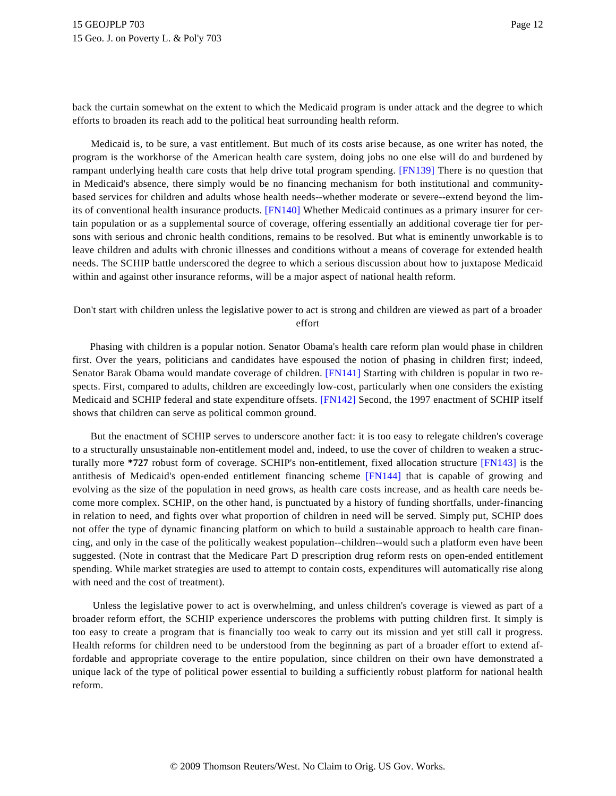back the curtain somewhat on the extent to which the Medicaid program is under attack and the degree to which efforts to broaden its reach add to the political heat surrounding health reform.

<span id="page-11-1"></span><span id="page-11-0"></span>Medicaid is, to be sure, a vast entitlement. But much of its costs arise because, as one writer has noted, the program is the workhorse of the American health care system, doing jobs no one else will do and burdened by rampant underlying health care costs that help drive total program spending. [\[FN139\]](#page-23-5) There is no question that in Medicaid's absence, there simply would be no financing mechanism for both institutional and communitybased services for children and adults whose health needs--whether moderate or severe--extend beyond the limits of conventional health insurance products. [\[FN140\]](#page-23-6) Whether Medicaid continues as a primary insurer for certain population or as a supplemental source of coverage, offering essentially an additional coverage tier for persons with serious and chronic health conditions, remains to be resolved. But what is eminently unworkable is to leave children and adults with chronic illnesses and conditions without a means of coverage for extended health needs. The SCHIP battle underscored the degree to which a serious discussion about how to juxtapose Medicaid within and against other insurance reforms, will be a major aspect of national health reform.

# Don't start with children unless the legislative power to act is strong and children are viewed as part of a broader effort

<span id="page-11-2"></span>Phasing with children is a popular notion. Senator Obama's health care reform plan would phase in children first. Over the years, politicians and candidates have espoused the notion of phasing in children first; indeed, Senator Barak Obama would mandate coverage of children. [\[FN141\]](#page-23-7) Starting with children is popular in two respects. First, compared to adults, children are exceedingly low-cost, particularly when one considers the existing Medicaid and SCHIP federal and state expenditure offsets. [\[FN142\]](#page-23-8) Second, the 1997 enactment of SCHIP itself shows that children can serve as political common ground.

<span id="page-11-5"></span><span id="page-11-4"></span><span id="page-11-3"></span>But the enactment of SCHIP serves to underscore another fact: it is too easy to relegate children's coverage to a structurally unsustainable non-entitlement model and, indeed, to use the cover of children to weaken a structurally more **\*727** robust form of coverage. SCHIP's non-entitlement, fixed allocation structure [\[FN143\]](#page-23-9) is the antithesis of Medicaid's open-ended entitlement financing scheme [\[FN144\]](#page-23-10) that is capable of growing and evolving as the size of the population in need grows, as health care costs increase, and as health care needs become more complex. SCHIP, on the other hand, is punctuated by a history of funding shortfalls, under-financing in relation to need, and fights over what proportion of children in need will be served. Simply put, SCHIP does not offer the type of dynamic financing platform on which to build a sustainable approach to health care financing, and only in the case of the politically weakest population--children--would such a platform even have been suggested. (Note in contrast that the Medicare Part D prescription drug reform rests on open-ended entitlement spending. While market strategies are used to attempt to contain costs, expenditures will automatically rise along with need and the cost of treatment).

Unless the legislative power to act is overwhelming, and unless children's coverage is viewed as part of a broader reform effort, the SCHIP experience underscores the problems with putting children first. It simply is too easy to create a program that is financially too weak to carry out its mission and yet still call it progress. Health reforms for children need to be understood from the beginning as part of a broader effort to extend affordable and appropriate coverage to the entire population, since children on their own have demonstrated a unique lack of the type of political power essential to building a sufficiently robust platform for national health reform.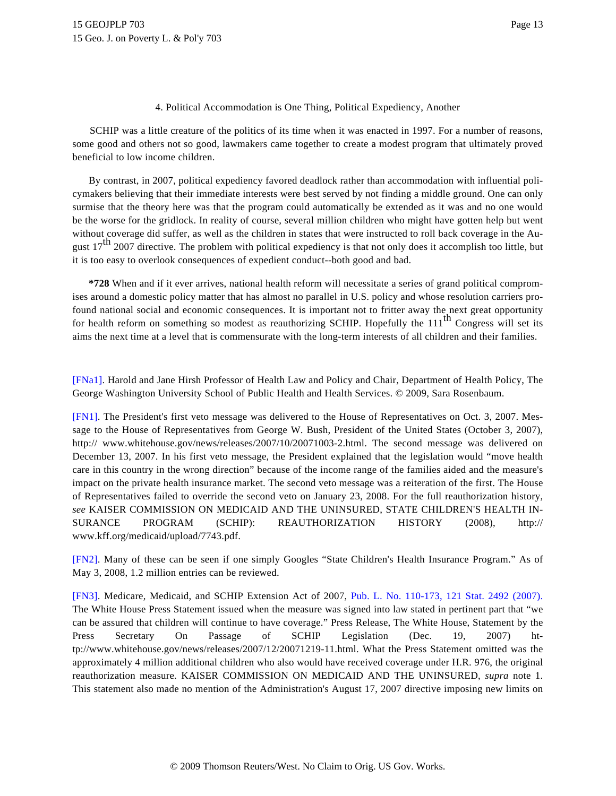4. Political Accommodation is One Thing, Political Expediency, Another

SCHIP was a little creature of the politics of its time when it was enacted in 1997. For a number of reasons, some good and others not so good, lawmakers came together to create a modest program that ultimately proved beneficial to low income children.

By contrast, in 2007, political expediency favored deadlock rather than accommodation with influential policymakers believing that their immediate interests were best served by not finding a middle ground. One can only surmise that the theory here was that the program could automatically be extended as it was and no one would be the worse for the gridlock. In reality of course, several million children who might have gotten help but went without coverage did suffer, as well as the children in states that were instructed to roll back coverage in the August  $17<sup>th</sup>$  2007 directive. The problem with political expediency is that not only does it accomplish too little, but it is too easy to overlook consequences of expedient conduct--both good and bad.

**\*728** When and if it ever arrives, national health reform will necessitate a series of grand political compromises around a domestic policy matter that has almost no parallel in U.S. policy and whose resolution carriers profound national social and economic consequences. It is important not to fritter away the next great opportunity for health reform on something so modest as reauthorizing SCHIP. Hopefully the  $111<sup>th</sup>$  Congress will set its aims the next time at a level that is commensurate with the long-term interests of all children and their families.

<span id="page-12-0"></span>[\[FNa1\].](#page-0-0) Harold and Jane Hirsh Professor of Health Law and Policy and Chair, Department of Health Policy, The George Washington University School of Public Health and Health Services. © 2009, Sara Rosenbaum.

<span id="page-12-1"></span>[\[FN1\]](#page-0-1). The President's first veto message was delivered to the House of Representatives on Oct. 3, 2007. Message to the House of Representatives from George W. Bush, President of the United States (October 3, 2007), http:// www.whitehouse.gov/news/releases/2007/10/20071003-2.html. The second message was delivered on December 13, 2007. In his first veto message, the President explained that the legislation would "move health care in this country in the wrong direction" because of the income range of the families aided and the measure's impact on the private health insurance market. The second veto message was a reiteration of the first. The House of Representatives failed to override the second veto on January 23, 2008. For the full reauthorization history, *see* KAISER COMMISSION ON MEDICAID AND THE UNINSURED, STATE CHILDREN'S HEALTH IN-SURANCE PROGRAM (SCHIP): REAUTHORIZATION HISTORY (2008), http:// www.kff.org/medicaid/upload/7743.pdf.

<span id="page-12-2"></span>[\[FN2\]](#page-0-2). Many of these can be seen if one simply Googles "State Children's Health Insurance Program." As of May 3, 2008, 1.2 million entries can be reviewed.

<span id="page-12-3"></span>[\[FN3\]](#page-0-3). Medicare, Medicaid, and SCHIP Extension Act of 2007, [Pub. L. No. 110-173, 121 Stat. 2492 \(2007](http://www.westlaw.com/Find/Default.wl?rs=dfa1.0&vr=2.0&DB=1077005&DocName=UU%28IF20FA160BD-5611DC992AE-23106BA27C5%29&FindType=l)). The White House Press Statement issued when the measure was signed into law stated in pertinent part that "we can be assured that children will continue to have coverage." Press Release, The White House, Statement by the Press Secretary On Passage of SCHIP Legislation (Dec. 19, 2007) http://www.whitehouse.gov/news/releases/2007/12/20071219-11.html. What the Press Statement omitted was the approximately 4 million additional children who also would have received coverage under H.R. 976, the original reauthorization measure. KAISER COMMISSION ON MEDICAID AND THE UNINSURED, *supra* note 1. This statement also made no mention of the Administration's August 17, 2007 directive imposing new limits on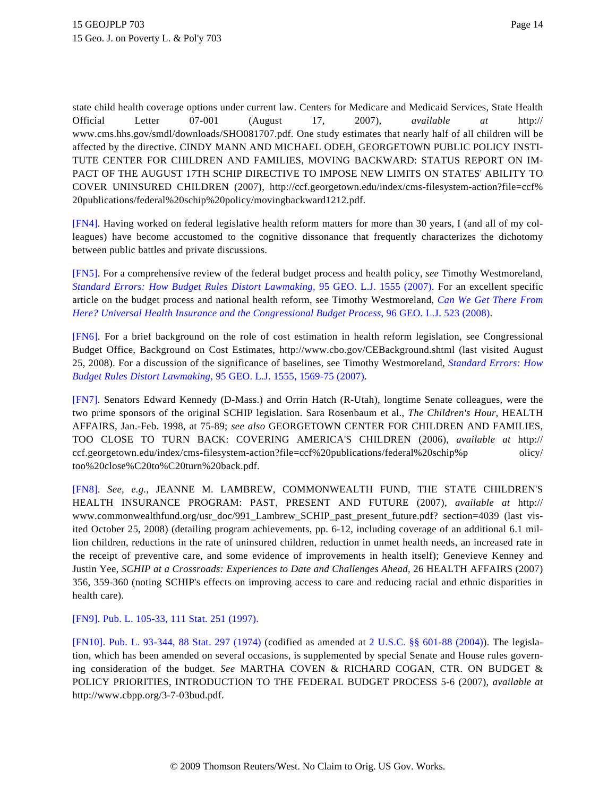state child health coverage options under current law. Centers for Medicare and Medicaid Services, State Health Official Letter 07-001 (August 17, 2007), *available at* http:// www.cms.hhs.gov/smdl/downloads/SHO081707.pdf. One study estimates that nearly half of all children will be affected by the directive. CINDY MANN AND MICHAEL ODEH, GEORGETOWN PUBLIC POLICY INSTI-TUTE CENTER FOR CHILDREN AND FAMILIES, MOVING BACKWARD: STATUS REPORT ON IM-PACT OF THE AUGUST 17TH SCHIP DIRECTIVE TO IMPOSE NEW LIMITS ON STATES' ABILITY TO COVER UNINSURED CHILDREN (2007), http://ccf.georgetown.edu/index/cms-filesystem-action?file=ccf% 20publications/federal%20schip%20policy/movingbackward1212.pdf.

<span id="page-13-0"></span>[\[FN4\]](#page-0-4). Having worked on federal legislative health reform matters for more than 30 years, I (and all of my colleagues) have become accustomed to the cognitive dissonance that frequently characterizes the dichotomy between public battles and private discussions.

<span id="page-13-1"></span>[\[FN5\]](#page-0-5). For a comprehensive review of the federal budget process and health policy, *see* Timothy Westmoreland, *[Standard Errors: How Budget Rules Distort Lawmakin](http://www.westlaw.com/Find/Default.wl?rs=dfa1.0&vr=2.0&DB=1146&FindType=Y&SerialNum=0332116906)g*[, 95 GEO. L.J. 1555 \(2007](http://www.westlaw.com/Find/Default.wl?rs=dfa1.0&vr=2.0&DB=1146&FindType=Y&SerialNum=0332116906)). For an excellent specific article on the budget process and national health reform, see Timothy Westmoreland, *[Can We Get There From](http://www.westlaw.com/Find/Default.wl?rs=dfa1.0&vr=2.0&DB=1146&FindType=Y&SerialNum=0336014549) [Here? Universal Health Insurance and the Congressional Budget Process](http://www.westlaw.com/Find/Default.wl?rs=dfa1.0&vr=2.0&DB=1146&FindType=Y&SerialNum=0336014549)*[, 96 GEO. L.J. 523 \(2008\)](http://www.westlaw.com/Find/Default.wl?rs=dfa1.0&vr=2.0&DB=1146&FindType=Y&SerialNum=0336014549).

<span id="page-13-2"></span>[\[FN6\]](#page-0-6). For a brief background on the role of cost estimation in health reform legislation, see Congressional Budget Office, Background on Cost Estimates, http://www.cbo.gov/CEBackground.shtml (last visited August 25, 2008). For a discussion of the significance of baselines, see Timothy Westmoreland, *[Standard Errors: How](http://www.westlaw.com/Find/Default.wl?rs=dfa1.0&vr=2.0&DB=1146&FindType=Y&ReferencePositionType=S&SerialNum=0332116906&ReferencePosition=1569) [Budget Rules Distort Lawmaking](http://www.westlaw.com/Find/Default.wl?rs=dfa1.0&vr=2.0&DB=1146&FindType=Y&ReferencePositionType=S&SerialNum=0332116906&ReferencePosition=1569)*[, 95 GEO. L.J. 1555, 1569-75 \(2007\)](http://www.westlaw.com/Find/Default.wl?rs=dfa1.0&vr=2.0&DB=1146&FindType=Y&ReferencePositionType=S&SerialNum=0332116906&ReferencePosition=1569).

<span id="page-13-3"></span>[\[FN7\]](#page-0-7). Senators Edward Kennedy (D-Mass.) and Orrin Hatch (R-Utah), longtime Senate colleagues, were the two prime sponsors of the original SCHIP legislation. Sara Rosenbaum et al., *The Children's Hour*, HEALTH AFFAIRS, Jan.-Feb. 1998, at 75-89; *see also* GEORGETOWN CENTER FOR CHILDREN AND FAMILIES, TOO CLOSE TO TURN BACK: COVERING AMERICA'S CHILDREN (2006), *available at* http:// ccf.georgetown.edu/index/cms-filesystem-action?file=ccf%20publications/federal%20schip%p olicy/ too%20close%C20to%C20turn%20back.pdf.

<span id="page-13-4"></span>[\[FN8\]](#page-0-8). *See, e.g.*, JEANNE M. LAMBREW, COMMONWEALTH FUND, THE STATE CHILDREN'S HEALTH INSURANCE PROGRAM: PAST, PRESENT AND FUTURE (2007), *available at* http:// www.commonwealthfund.org/usr\_doc/991\_Lambrew\_SCHIP\_past\_present\_future.pdf? section=4039 (last visited October 25, 2008) (detailing program achievements, pp. 6-12, including coverage of an additional 6.1 million children, reductions in the rate of uninsured children, reduction in unmet health needs, an increased rate in the receipt of preventive care, and some evidence of improvements in health itself); Genevieve Kenney and Justin Yee, *SCHIP at a Crossroads: Experiences to Date and Challenges Ahead*, 26 HEALTH AFFAIRS (2007) 356, 359-360 (noting SCHIP's effects on improving access to care and reducing racial and ethnic disparities in health care).

<span id="page-13-5"></span>[\[FN9\]](#page-0-9). [Pub. L. 105-33, 111 Stat. 251 \(1997\).](http://www.westlaw.com/Find/Default.wl?rs=dfa1.0&vr=2.0&DB=1077005&DocName=UU%28I5A19510DA2-EC4F7F9E8C2-6D05F7D07A4%29&FindType=l)

<span id="page-13-6"></span>[\[FN10\]](#page-1-0). [Pub. L. 93-344, 88 Stat. 297 \(1974](http://www.westlaw.com/Find/Default.wl?rs=dfa1.0&vr=2.0&DB=1077005&DocName=UU%28I96C562D300-9A439FA3541-C6922FA5C35%29&FindType=l)) (codified as amended at [2 U.S.C. §§ 60](http://www.westlaw.com/Find/Default.wl?rs=dfa1.0&vr=2.0&DB=1000546&DocName=2USCAS601&FindType=L)[1-88 \(2004](http://www.westlaw.com/Find/Default.wl?rs=dfa1.0&vr=2.0&DB=1000546&DocName=2USCAS688&FindType=L))). The legislation, which has been amended on several occasions, is supplemented by special Senate and House rules governing consideration of the budget. *See* MARTHA COVEN & RICHARD COGAN, CTR. ON BUDGET & POLICY PRIORITIES, INTRODUCTION TO THE FEDERAL BUDGET PROCESS 5-6 (2007), *available at* http://www.cbpp.org/3-7-03bud.pdf.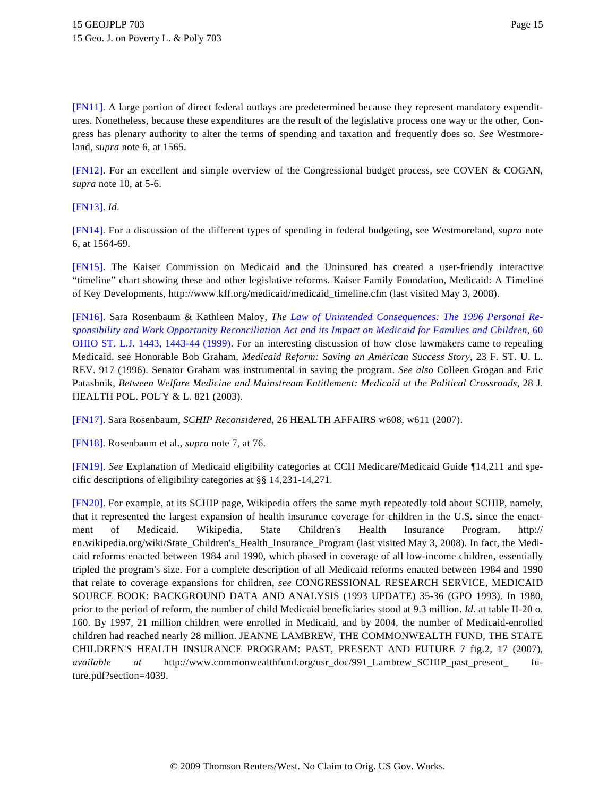<span id="page-14-0"></span>[\[FN11\]](#page-1-1). A large portion of direct federal outlays are predetermined because they represent mandatory expenditures. Nonetheless, because these expenditures are the result of the legislative process one way or the other, Congress has plenary authority to alter the terms of spending and taxation and frequently does so. *See* Westmoreland, *supra* note 6, at 1565.

<span id="page-14-1"></span>[\[FN12\]](#page-1-2). For an excellent and simple overview of the Congressional budget process, see COVEN & COGAN, *supra* note 10, at 5-6.

<span id="page-14-2"></span>[\[FN13\]](#page-1-3). *Id*.

<span id="page-14-3"></span>[\[FN14\]](#page-1-4). For a discussion of the different types of spending in federal budgeting, see Westmoreland, *supra* note 6, at 1564-69.

<span id="page-14-4"></span>[\[FN15\]](#page-1-5). The Kaiser Commission on Medicaid and the Uninsured has created a user-friendly interactive "timeline" chart showing these and other legislative reforms. Kaiser Family Foundation, Medicaid: A Timeline of Key Developments, http://www.kff.org/medicaid/medicaid\_timeline.cfm (last visited May 3, 2008).

<span id="page-14-5"></span>[\[FN16\]](#page-1-6). Sara Rosenbaum & Kathleen Maloy, *The [Law of Unintended Consequences: The 1996 Personal R](http://www.westlaw.com/Find/Default.wl?rs=dfa1.0&vr=2.0&DB=1216&FindType=Y&ReferencePositionType=S&SerialNum=0115698058&ReferencePosition=1443)e[sponsibility and Work Opportunity Reconciliation Act and its Impact on Medicaid for Families and Children](http://www.westlaw.com/Find/Default.wl?rs=dfa1.0&vr=2.0&DB=1216&FindType=Y&ReferencePositionType=S&SerialNum=0115698058&ReferencePosition=1443)*, 60 [OHIO ST. L.J. 1443, 1443-44 \(1999](http://www.westlaw.com/Find/Default.wl?rs=dfa1.0&vr=2.0&DB=1216&FindType=Y&ReferencePositionType=S&SerialNum=0115698058&ReferencePosition=1443)). For an interesting discussion of how close lawmakers came to repealing Medicaid, see Honorable Bob Graham, *Medicaid Reform: Saving an American Success Story*, 23 F. ST. U. L. REV. 917 (1996). Senator Graham was instrumental in saving the program. *See also* Colleen Grogan and Eric Patashnik, *Between Welfare Medicine and Mainstream Entitlement: Medicaid at the Political Crossroads*, 28 J. HEALTH POL. POL'Y & L. 821 (2003).

<span id="page-14-6"></span>[\[FN17\]](#page-1-7). Sara Rosenbaum, *SCHIP Reconsidered*, 26 HEALTH AFFAIRS w608, w611 (2007).

<span id="page-14-7"></span>[\[FN18\]](#page-1-8). Rosenbaum et al., *supra* note 7, at 76.

<span id="page-14-8"></span>[\[FN19\]](#page-1-9). *See* Explanation of Medicaid eligibility categories at CCH Medicare/Medicaid Guide ¶14,211 and specific descriptions of eligibility categories at §§ 14,231-14,271.

<span id="page-14-9"></span>[\[FN20\]](#page-1-10). For example, at its SCHIP page, Wikipedia offers the same myth repeatedly told about SCHIP, namely, that it represented the largest expansion of health insurance coverage for children in the U.S. since the enactment of Medicaid. Wikipedia, State Children's Health Insurance Program, http:// en.wikipedia.org/wiki/State\_Children's\_Health\_Insurance\_Program (last visited May 3, 2008). In fact, the Medicaid reforms enacted between 1984 and 1990, which phased in coverage of all low-income children, essentially tripled the program's size. For a complete description of all Medicaid reforms enacted between 1984 and 1990 that relate to coverage expansions for children, *see* CONGRESSIONAL RESEARCH SERVICE, MEDICAID SOURCE BOOK: BACKGROUND DATA AND ANALYSIS (1993 UPDATE) 35-36 (GPO 1993). In 1980, prior to the period of reform, the number of child Medicaid beneficiaries stood at 9.3 million. *Id*. at table II-20 o. 160. By 1997, 21 million children were enrolled in Medicaid, and by 2004, the number of Medicaid-enrolled children had reached nearly 28 million. JEANNE LAMBREW, THE COMMONWEALTH FUND, THE STATE CHILDREN'S HEALTH INSURANCE PROGRAM: PAST, PRESENT AND FUTURE 7 fig.2, 17 (2007), *available at* http://www.commonwealthfund.org/usr\_doc/991\_Lambrew\_SCHIP\_past\_present\_ future.pdf?section=4039.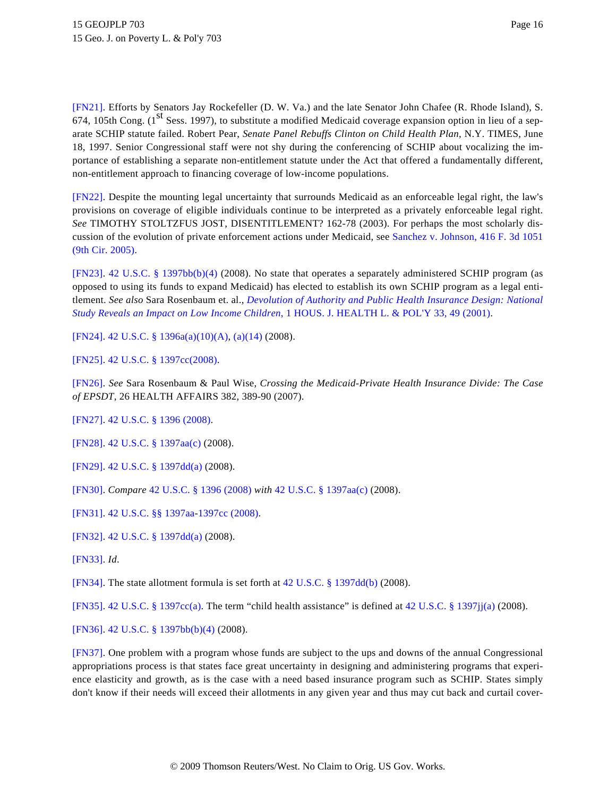<span id="page-15-0"></span>[\[FN21\]](#page-1-11). Efforts by Senators Jay Rockefeller (D. W. Va.) and the late Senator John Chafee (R. Rhode Island), S. 674, 105th Cong.  $(1^{st}$  Sess. 1997), to substitute a modified Medicaid coverage expansion option in lieu of a separate SCHIP statute failed. Robert Pear, *Senate Panel Rebuffs Clinton on Child Health Plan*, N.Y. TIMES, June 18, 1997. Senior Congressional staff were not shy during the conferencing of SCHIP about vocalizing the importance of establishing a separate non-entitlement statute under the Act that offered a fundamentally different, non-entitlement approach to financing coverage of low-income populations.

<span id="page-15-1"></span>[\[FN22\]](#page-1-12). Despite the mounting legal uncertainty that surrounds Medicaid as an enforceable legal right, the law's provisions on coverage of eligible individuals continue to be interpreted as a privately enforceable legal right. *See* TIMOTHY STOLTZFUS JOST, DISENTITLEMENT? 162-78 (2003). For perhaps the most scholarly discussion of the evolution of private enforcement actions under Medicaid, see [Sanchez v. Johnson, 416 F. 3d 1051](http://www.westlaw.com/Find/Default.wl?rs=dfa1.0&vr=2.0&DB=506&FindType=Y&SerialNum=2007065436) [\(9th Cir. 2005\)](http://www.westlaw.com/Find/Default.wl?rs=dfa1.0&vr=2.0&DB=506&FindType=Y&SerialNum=2007065436).

<span id="page-15-2"></span>[\[FN23\]](#page-1-13). [42 U.S.C. § 1397bb\(b\)\(4](http://www.westlaw.com/Find/Default.wl?rs=dfa1.0&vr=2.0&DB=1000546&DocName=42USCAS1397BB&FindType=L&ReferencePositionType=T&ReferencePosition=SP_6ad60000aeea7)) (2008). No state that operates a separately administered SCHIP program (as opposed to using its funds to expand Medicaid) has elected to establish its own SCHIP program as a legal entitlement. *See also* Sara Rosenbaum et. al., *[Devolution of Authority and Public Health Insurance Design: National](http://www.westlaw.com/Find/Default.wl?rs=dfa1.0&vr=2.0&DB=141530&FindType=Y&ReferencePositionType=S&SerialNum=0288203039&ReferencePosition=49) [Study Reveals an Impact on Low Income Children](http://www.westlaw.com/Find/Default.wl?rs=dfa1.0&vr=2.0&DB=141530&FindType=Y&ReferencePositionType=S&SerialNum=0288203039&ReferencePosition=49)*[, 1 HOUS. J. HEALTH L. & POL'Y 33, 49 \(2001\)](http://www.westlaw.com/Find/Default.wl?rs=dfa1.0&vr=2.0&DB=141530&FindType=Y&ReferencePositionType=S&SerialNum=0288203039&ReferencePosition=49).

<span id="page-15-3"></span>[\[FN24\]](#page-1-14). [42 U.S.C. § 1396a\(a\)\(10\)\(A\)](http://www.westlaw.com/Find/Default.wl?rs=dfa1.0&vr=2.0&DB=1000546&DocName=42USCAS1396A&FindType=L&ReferencePositionType=T&ReferencePosition=SP_e885000032de6), [\(a\)\(14\)](http://www.westlaw.com/Find/Default.wl?rs=dfa1.0&vr=2.0&DB=1000546&DocName=42USCAS1396A&FindType=L&ReferencePositionType=T&ReferencePosition=SP_e4fa0000ffa55) (2008).

<span id="page-15-4"></span>[\[FN25\]](#page-1-15). [42 U.S.C. § 1397cc\(2008\)](http://www.westlaw.com/Find/Default.wl?rs=dfa1.0&vr=2.0&DB=1000546&DocName=42USCAS1397CC&FindType=L).

<span id="page-15-5"></span>[\[FN26\]](#page-1-16). *See* Sara Rosenbaum & Paul Wise, *Crossing the Medicaid-Private Health Insurance Divide: The Case of EPSDT*, 26 HEALTH AFFAIRS 382, 389-90 (2007).

<span id="page-15-6"></span>[\[FN27\]](#page-1-17). [42 U.S.C. § 1396 \(2008\)](http://www.westlaw.com/Find/Default.wl?rs=dfa1.0&vr=2.0&DB=1000546&DocName=42USCAS1396&FindType=L).

<span id="page-15-7"></span>[\[FN28\]](#page-1-17). [42 U.S.C. § 1397aa\(c\)](http://www.westlaw.com/Find/Default.wl?rs=dfa1.0&vr=2.0&DB=1000546&DocName=42USCAS1397AA&FindType=L&ReferencePositionType=T&ReferencePosition=SP_4b24000003ba5) (2008).

<span id="page-15-8"></span>[\[FN29\]](#page-1-18). [42 U.S.C. § 1397dd\(a\)](http://www.westlaw.com/Find/Default.wl?rs=dfa1.0&vr=2.0&DB=1000546&DocName=42USCAS1397DD&FindType=L&ReferencePositionType=T&ReferencePosition=SP_8b3b0000958a4) (2008).

<span id="page-15-9"></span>[\[FN30\]](#page-1-19). *Compare* [42 U.S.C. § 1396 \(2008\)](http://www.westlaw.com/Find/Default.wl?rs=dfa1.0&vr=2.0&DB=1000546&DocName=42USCAS1396&FindType=L) *with* [42 U.S.C. § 1397aa\(c\)](http://www.westlaw.com/Find/Default.wl?rs=dfa1.0&vr=2.0&DB=1000546&DocName=42USCAS1397AA&FindType=L&ReferencePositionType=T&ReferencePosition=SP_4b24000003ba5) (2008).

<span id="page-15-10"></span>[\[FN31\]](#page-2-0). [42 U.S.C. §§ 1397a](http://www.westlaw.com/Find/Default.wl?rs=dfa1.0&vr=2.0&DB=1000546&DocName=42USCAS1397AA&FindType=L)[a-1397cc \(2008\)](http://www.westlaw.com/Find/Default.wl?rs=dfa1.0&vr=2.0&DB=1000546&DocName=42USCAS1397CC&FindType=L).

<span id="page-15-11"></span>[\[FN32\]](#page-2-1). [42 U.S.C. § 1397dd\(a\)](http://www.westlaw.com/Find/Default.wl?rs=dfa1.0&vr=2.0&DB=1000546&DocName=42USCAS1397DD&FindType=L&ReferencePositionType=T&ReferencePosition=SP_8b3b0000958a4) (2008).

<span id="page-15-12"></span>[\[FN33\]](#page-2-2). *Id*.

<span id="page-15-13"></span>[\[FN34\]](#page-2-3). The state allotment formula is set forth at [42 U.S.C. § 1397dd\(b\)](http://www.westlaw.com/Find/Default.wl?rs=dfa1.0&vr=2.0&DB=1000546&DocName=42USCAS1397DD&FindType=L&ReferencePositionType=T&ReferencePosition=SP_a83b000018c76) (2008).

<span id="page-15-14"></span>[\[FN35\]](#page-2-3). [42 U.S.C. § 1397cc\(a\)](http://www.westlaw.com/Find/Default.wl?rs=dfa1.0&vr=2.0&DB=1000546&DocName=42USCAS1397CC&FindType=L&ReferencePositionType=T&ReferencePosition=SP_8b3b0000958a4). The term "child health assistance" is defined at [42 U.S.C. § 1397jj\(a\)](http://www.westlaw.com/Find/Default.wl?rs=dfa1.0&vr=2.0&DB=1000546&DocName=42USCAS1397JJ&FindType=L&ReferencePositionType=T&ReferencePosition=SP_8b3b0000958a4) (2008).

<span id="page-15-15"></span>[\[FN36\]](#page-2-4). [42 U.S.C. § 1397bb\(b\)\(4\)](http://www.westlaw.com/Find/Default.wl?rs=dfa1.0&vr=2.0&DB=1000546&DocName=42USCAS1397BB&FindType=L&ReferencePositionType=T&ReferencePosition=SP_6ad60000aeea7) (2008).

<span id="page-15-16"></span>[\[FN37\]](#page-2-5). One problem with a program whose funds are subject to the ups and downs of the annual Congressional appropriations process is that states face great uncertainty in designing and administering programs that experience elasticity and growth, as is the case with a need based insurance program such as SCHIP. States simply don't know if their needs will exceed their allotments in any given year and thus may cut back and curtail cover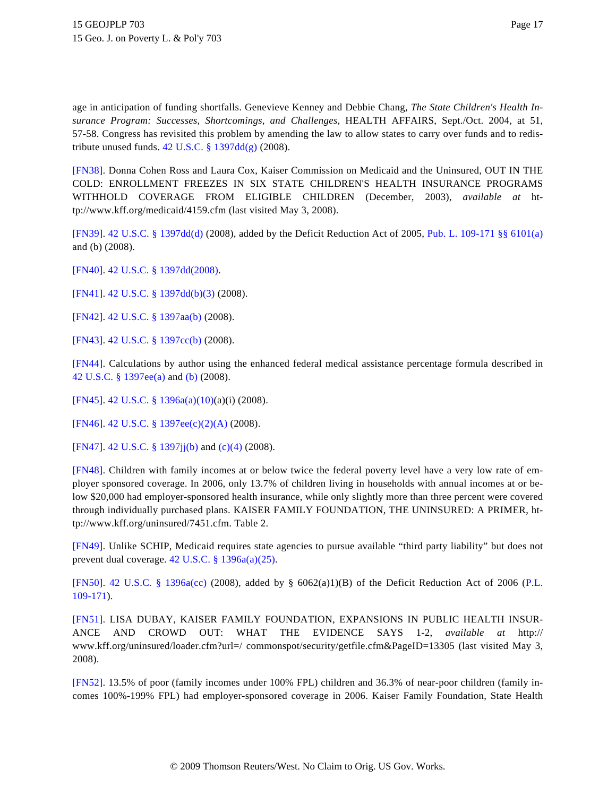age in anticipation of funding shortfalls. Genevieve Kenney and Debbie Chang, *The State Children's Health Insurance Program: Successes, Shortcomings, and Challenges*, HEALTH AFFAIRS, Sept./Oct. 2004, at 51, 57-58. Congress has revisited this problem by amending the law to allow states to carry over funds and to redistribute unused funds. [42 U.S.C. § 1397dd\(g\)](http://www.westlaw.com/Find/Default.wl?rs=dfa1.0&vr=2.0&DB=1000546&DocName=42USCAS1397DD&FindType=L&ReferencePositionType=T&ReferencePosition=SP_16f4000091d86) (2008).

<span id="page-16-0"></span>[\[FN38\]](#page-2-6). Donna Cohen Ross and Laura Cox, Kaiser Commission on Medicaid and the Uninsured, OUT IN THE COLD: ENROLLMENT FREEZES IN SIX STATE CHILDREN'S HEALTH INSURANCE PROGRAMS WITHHOLD COVERAGE FROM ELIGIBLE CHILDREN (December, 2003), *available at* http://www.kff.org/medicaid/4159.cfm (last visited May 3, 2008).

<span id="page-16-1"></span>[\[FN39\]](#page-2-7). [42 U.S.C. § 1397dd\(d\)](http://www.westlaw.com/Find/Default.wl?rs=dfa1.0&vr=2.0&DB=1000546&DocName=42USCAS1397DD&FindType=L&ReferencePositionType=T&ReferencePosition=SP_5ba1000067d06) (2008), added by the Deficit Reduction Act of 2005, [Pub. L. 109-171 §§ 6101\(a\)](http://www.westlaw.com/Find/Default.wl?rs=dfa1.0&vr=2.0&DB=1077005&DocName=UU%28I8C07B6609C-AA11DA90E8D-87FFEC6AE2E%29&FindType=l) and (b) (2008).

<span id="page-16-2"></span>[\[FN40\]](#page-2-8). [42 U.S.C. § 1397dd\(2008\)](http://www.westlaw.com/Find/Default.wl?rs=dfa1.0&vr=2.0&DB=1000546&DocName=42USCAS1397DD&FindType=L).

<span id="page-16-3"></span>[\[FN41\]](#page-2-9). [42 U.S.C. § 1397dd\(b\)\(3\)](http://www.westlaw.com/Find/Default.wl?rs=dfa1.0&vr=2.0&DB=1000546&DocName=42USCAS1397DD&FindType=L&ReferencePositionType=T&ReferencePosition=SP_d801000002763) (2008).

<span id="page-16-4"></span>[\[FN42\]](#page-2-10). [42 U.S.C. § 1397aa\(b\)](http://www.westlaw.com/Find/Default.wl?rs=dfa1.0&vr=2.0&DB=1000546&DocName=42USCAS1397AA&FindType=L&ReferencePositionType=T&ReferencePosition=SP_a83b000018c76) (2008).

<span id="page-16-5"></span>[\[FN43\]](#page-2-11). [42 U.S.C. § 1397cc\(b\)](http://www.westlaw.com/Find/Default.wl?rs=dfa1.0&vr=2.0&DB=1000546&DocName=42USCAS1397CC&FindType=L&ReferencePositionType=T&ReferencePosition=SP_a83b000018c76) (2008).

<span id="page-16-6"></span>[\[FN44\]](#page-2-12). Calculations by author using the enhanced federal medical assistance percentage formula described in [42 U.S.C. § 1397ee\(a\)](http://www.westlaw.com/Find/Default.wl?rs=dfa1.0&vr=2.0&DB=1000546&DocName=42USCAS1397EE&FindType=L&ReferencePositionType=T&ReferencePosition=SP_8b3b0000958a4) and [\(b\)](http://www.westlaw.com/Find/Default.wl?rs=dfa1.0&vr=2.0&DB=1000546&DocName=42USCAS1397EE&FindType=L&ReferencePositionType=T&ReferencePosition=SP_a83b000018c76) (2008).

<span id="page-16-7"></span>[\[FN45\]](#page-2-13). [42 U.S.C. § 1396a\(a\)\(10\)](http://www.westlaw.com/Find/Default.wl?rs=dfa1.0&vr=2.0&DB=1000546&DocName=42USCAS1396A&FindType=L&ReferencePositionType=T&ReferencePosition=SP_fdce000026d86)(a)(i) (2008).

<span id="page-16-8"></span>[\[FN46\]](#page-2-14). [42 U.S.C. § 1397ee\(c\)\(2\)\(A\)](http://www.westlaw.com/Find/Default.wl?rs=dfa1.0&vr=2.0&DB=1000546&DocName=42USCAS1397EE&FindType=L&ReferencePositionType=T&ReferencePosition=SP_5205000097ee7) (2008).

<span id="page-16-9"></span>[\[FN47\]](#page-2-15). [42 U.S.C. § 1397jj\(b\)](http://www.westlaw.com/Find/Default.wl?rs=dfa1.0&vr=2.0&DB=1000546&DocName=42USCAS1397JJ&FindType=L&ReferencePositionType=T&ReferencePosition=SP_a83b000018c76) and [\(c\)\(4\)](http://www.westlaw.com/Find/Default.wl?rs=dfa1.0&vr=2.0&DB=1000546&DocName=42USCAS1397JJ&FindType=L&ReferencePositionType=T&ReferencePosition=SP_0c120000563a1) (2008).

<span id="page-16-10"></span>[\[FN48\]](#page-2-16). Children with family incomes at or below twice the federal poverty level have a very low rate of employer sponsored coverage. In 2006, only 13.7% of children living in households with annual incomes at or below \$20,000 had employer-sponsored health insurance, while only slightly more than three percent were covered through individually purchased plans. KAISER FAMILY FOUNDATION, THE UNINSURED: A PRIMER, http://www.kff.org/uninsured/7451.cfm. Table 2.

<span id="page-16-11"></span>[\[FN49\]](#page-2-17). Unlike SCHIP, Medicaid requires state agencies to pursue available "third party liability" but does not prevent dual coverage. [42 U.S.C. § 1396a\(a\)\(25\)](http://www.westlaw.com/Find/Default.wl?rs=dfa1.0&vr=2.0&DB=1000546&DocName=42USCAS1396A&FindType=L&ReferencePositionType=T&ReferencePosition=SP_fd76000067cd6).

<span id="page-16-12"></span>[\[FN50\]](#page-2-18). [42 U.S.C. § 1396a\(cc](http://www.westlaw.com/Find/Default.wl?rs=dfa1.0&vr=2.0&DB=1000546&DocName=42USCAS1396A&FindType=L&ReferencePositionType=T&ReferencePosition=SP_3622000086271)) (2008), added by § 6062(a)1)(B) of the Deficit Reduction Act of 2006 [\(P.L.](http://www.westlaw.com/Find/Default.wl?rs=dfa1.0&vr=2.0&DB=1077005&DocName=UU%28I8C07B6609C-AA11DA90E8D-87FFEC6AE2E%29&FindType=l) [109-171](http://www.westlaw.com/Find/Default.wl?rs=dfa1.0&vr=2.0&DB=1077005&DocName=UU%28I8C07B6609C-AA11DA90E8D-87FFEC6AE2E%29&FindType=l)).

<span id="page-16-13"></span>[\[FN51\]](#page-3-0). LISA DUBAY, KAISER FAMILY FOUNDATION, EXPANSIONS IN PUBLIC HEALTH INSUR-ANCE AND CROWD OUT: WHAT THE EVIDENCE SAYS 1-2, *available at* http:// www.kff.org/uninsured/loader.cfm?url=/ commonspot/security/getfile.cfm&PageID=13305 (last visited May 3, 2008).

<span id="page-16-14"></span>[\[FN52\]](#page-3-1). 13.5% of poor (family incomes under 100% FPL) children and 36.3% of near-poor children (family incomes 100%-199% FPL) had employer-sponsored coverage in 2006. Kaiser Family Foundation, State Health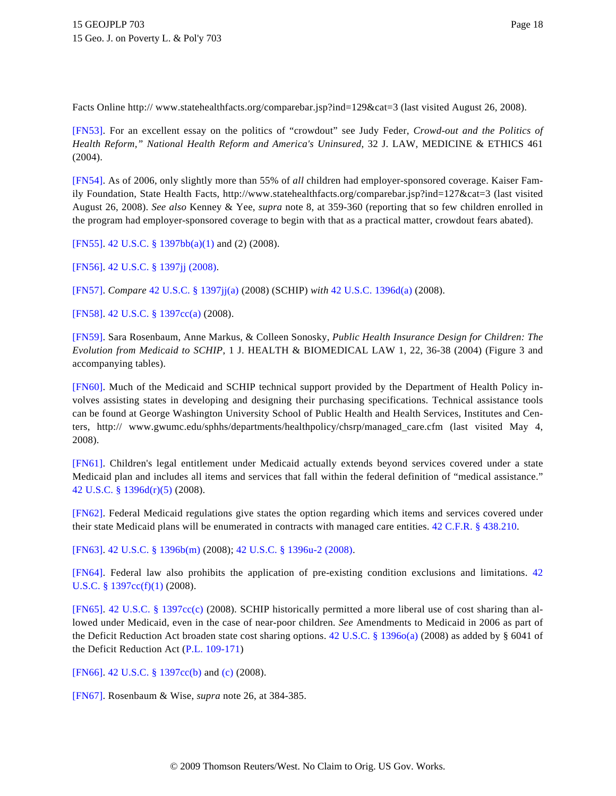Facts Online http:// www.statehealthfacts.org/comparebar.jsp?ind=129&cat=3 (last visited August 26, 2008).

<span id="page-17-0"></span>[\[FN53\]](#page-3-2). For an excellent essay on the politics of "crowdout" see Judy Feder, *Crowd-out and the Politics of Health Reform," National Health Reform and America's Uninsured*, 32 J. LAW, MEDICINE & ETHICS 461 (2004).

<span id="page-17-1"></span>[\[FN54\]](#page-3-3). As of 2006, only slightly more than 55% of *all* children had employer-sponsored coverage. Kaiser Family Foundation, State Health Facts, http://www.statehealthfacts.org/comparebar.jsp?ind=127&cat=3 (last visited August 26, 2008). *See also* Kenney & Yee, *supra* note 8, at 359-360 (reporting that so few children enrolled in the program had employer-sponsored coverage to begin with that as a practical matter, crowdout fears abated).

<span id="page-17-2"></span>[\[FN55\]](#page-3-4). [42 U.S.C. § 1397bb\(a\)\(1\)](http://www.westlaw.com/Find/Default.wl?rs=dfa1.0&vr=2.0&DB=1000546&DocName=42USCAS1397BB&FindType=L&ReferencePositionType=T&ReferencePosition=SP_7b9b000044381) and (2) (2008).

<span id="page-17-3"></span>[\[FN56\]](#page-3-5). [42 U.S.C. § 1397jj \(2008\)](http://www.westlaw.com/Find/Default.wl?rs=dfa1.0&vr=2.0&DB=1000546&DocName=42USCAS1397JJ&FindType=L).

<span id="page-17-4"></span>[\[FN57\]](#page-3-6). *Compare* [42 U.S.C. § 1397jj\(a\)](http://www.westlaw.com/Find/Default.wl?rs=dfa1.0&vr=2.0&DB=1000546&DocName=42USCAS1397JJ&FindType=L&ReferencePositionType=T&ReferencePosition=SP_8b3b0000958a4) (2008) (SCHIP) *with* [42 U.S.C. 1396d\(a\)](http://www.westlaw.com/Find/Default.wl?rs=dfa1.0&vr=2.0&DB=1000546&DocName=42USCAS1396D&FindType=L&ReferencePositionType=T&ReferencePosition=SP_8b3b0000958a4) (2008).

<span id="page-17-5"></span>[\[FN58\]](#page-3-7). [42 U.S.C. § 1397cc\(a\)](http://www.westlaw.com/Find/Default.wl?rs=dfa1.0&vr=2.0&DB=1000546&DocName=42USCAS1397CC&FindType=L&ReferencePositionType=T&ReferencePosition=SP_8b3b0000958a4) (2008).

<span id="page-17-6"></span>[\[FN59\]](#page-3-8). Sara Rosenbaum, Anne Markus, & Colleen Sonosky, *Public Health Insurance Design for Children: The Evolution from Medicaid to SCHIP*, 1 J. HEALTH & BIOMEDICAL LAW 1, 22, 36-38 (2004) (Figure 3 and accompanying tables).

<span id="page-17-7"></span>[\[FN60\]](#page-3-9). Much of the Medicaid and SCHIP technical support provided by the Department of Health Policy involves assisting states in developing and designing their purchasing specifications. Technical assistance tools can be found at George Washington University School of Public Health and Health Services, Institutes and Centers, http:// www.gwumc.edu/sphhs/departments/healthpolicy/chsrp/managed\_care.cfm (last visited May 4, 2008).

<span id="page-17-8"></span>[\[FN61\]](#page-3-10). Children's legal entitlement under Medicaid actually extends beyond services covered under a state Medicaid plan and includes all items and services that fall within the federal definition of "medical assistance." [42 U.S.C. § 1396d\(r\)\(5\)](http://www.westlaw.com/Find/Default.wl?rs=dfa1.0&vr=2.0&DB=1000546&DocName=42USCAS1396D&FindType=L&ReferencePositionType=T&ReferencePosition=SP_bf260000f54b2) (2008).

<span id="page-17-9"></span>[\[FN62\]](#page-3-11). Federal Medicaid regulations give states the option regarding which items and services covered under their state Medicaid plans will be enumerated in contracts with managed care entities. [42 C.F.R. § 438.210](http://www.westlaw.com/Find/Default.wl?rs=dfa1.0&vr=2.0&DB=1000547&DocName=42CFRS438.210&FindType=L).

<span id="page-17-10"></span>[\[FN63\]](#page-3-12). [42 U.S.C. § 1396b\(m\)](http://www.westlaw.com/Find/Default.wl?rs=dfa1.0&vr=2.0&DB=1000546&DocName=42USCAS1396B&FindType=L&ReferencePositionType=T&ReferencePosition=SP_ea62000089cc6) (2008); [42 U.S.C. § 1396u-2 \(2008\)](http://www.westlaw.com/Find/Default.wl?rs=dfa1.0&vr=2.0&DB=1000546&DocName=42USCAS1396U-2&FindType=L).

<span id="page-17-11"></span>[\[FN64\]](#page-3-13). Federal law also prohibits the application of pre-existing condition exclusions and limitations. [42](http://www.westlaw.com/Find/Default.wl?rs=dfa1.0&vr=2.0&DB=1000546&DocName=42USCAS1397CC&FindType=L&ReferencePositionType=T&ReferencePosition=SP_9daf00009de57) [U.S.C. § 1397cc\(f\)\(1\)](http://www.westlaw.com/Find/Default.wl?rs=dfa1.0&vr=2.0&DB=1000546&DocName=42USCAS1397CC&FindType=L&ReferencePositionType=T&ReferencePosition=SP_9daf00009de57) (2008).

<span id="page-17-12"></span>[\[FN65\]](#page-3-14). [42 U.S.C. § 1397cc\(c](http://www.westlaw.com/Find/Default.wl?rs=dfa1.0&vr=2.0&DB=1000546&DocName=42USCAS1397CC&FindType=L&ReferencePositionType=T&ReferencePosition=SP_4b24000003ba5)) (2008). SCHIP historically permitted a more liberal use of cost sharing than allowed under Medicaid, even in the case of near-poor children. *See* Amendments to Medicaid in 2006 as part of the Deficit Reduction Act broaden state cost sharing options. [42 U.S.C. § 1396o\(a\)](http://www.westlaw.com/Find/Default.wl?rs=dfa1.0&vr=2.0&DB=1000546&DocName=42USCAS1396O&FindType=L&ReferencePositionType=T&ReferencePosition=SP_8b3b0000958a4) (2008) as added by § 6041 of the Deficit Reduction Act [\(P.L. 109-171](http://www.westlaw.com/Find/Default.wl?rs=dfa1.0&vr=2.0&DB=1077005&DocName=UU%28I8C07B6609C-AA11DA90E8D-87FFEC6AE2E%29&FindType=l))

<span id="page-17-13"></span>[\[FN66\]](#page-3-15). [42 U.S.C. § 1397cc\(b\)](http://www.westlaw.com/Find/Default.wl?rs=dfa1.0&vr=2.0&DB=1000546&DocName=42USCAS1397CC&FindType=L&ReferencePositionType=T&ReferencePosition=SP_a83b000018c76) and [\(c\)](http://www.westlaw.com/Find/Default.wl?rs=dfa1.0&vr=2.0&DB=1000546&DocName=42USCAS1397CC&FindType=L&ReferencePositionType=T&ReferencePosition=SP_4b24000003ba5) (2008).

<span id="page-17-14"></span>[\[FN67\]](#page-4-0). Rosenbaum & Wise, *supra* note 26, at 384-385.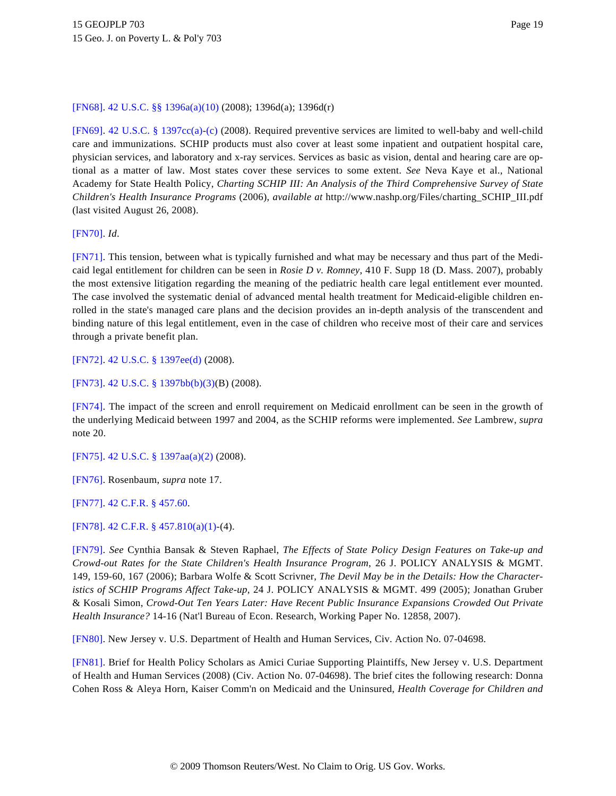# <span id="page-18-0"></span>[\[FN68\]](#page-4-0). [42 U.S.C. §§ 1396a\(a\)\(10\)](http://www.westlaw.com/Find/Default.wl?rs=dfa1.0&vr=2.0&DB=1000546&DocName=42USCAS1396A&FindType=L&ReferencePositionType=T&ReferencePosition=SP_fdce000026d86) (2008); 1396d(a); 1396d(r)

<span id="page-18-1"></span>[\[FN69\]](#page-4-1). [42 U.S.C. § 1397cc\(a](http://www.westlaw.com/Find/Default.wl?rs=dfa1.0&vr=2.0&DB=1000546&DocName=42USCAS1397CC&FindType=L&ReferencePositionType=T&ReferencePosition=SP_8b3b0000958a4))[-\(c\)](http://www.westlaw.com/Find/Default.wl?rs=dfa1.0&vr=2.0&DB=1000546&DocName=42USCAS1397CC&FindType=L&ReferencePositionType=T&ReferencePosition=SP_4b24000003ba5) (2008). Required preventive services are limited to well-baby and well-child care and immunizations. SCHIP products must also cover at least some inpatient and outpatient hospital care, physician services, and laboratory and x-ray services. Services as basic as vision, dental and hearing care are optional as a matter of law. Most states cover these services to some extent. *See* Neva Kaye et al., National Academy for State Health Policy, *Charting SCHIP III: An Analysis of the Third Comprehensive Survey of State Children's Health Insurance Programs* (2006), *available at* http://www.nashp.org/Files/charting\_SCHIP\_III.pdf (last visited August 26, 2008).

<span id="page-18-2"></span>[\[FN70\]](#page-4-2). *Id*.

<span id="page-18-3"></span>[\[FN71\]](#page-4-3). This tension, between what is typically furnished and what may be necessary and thus part of the Medicaid legal entitlement for children can be seen in *Rosie D v. Romney*, 410 F. Supp 18 (D. Mass. 2007), probably the most extensive litigation regarding the meaning of the pediatric health care legal entitlement ever mounted. The case involved the systematic denial of advanced mental health treatment for Medicaid-eligible children enrolled in the state's managed care plans and the decision provides an in-depth analysis of the transcendent and binding nature of this legal entitlement, even in the case of children who receive most of their care and services through a private benefit plan.

<span id="page-18-4"></span>[\[FN72\]](#page-4-4). [42 U.S.C. § 1397ee\(d\)](http://www.westlaw.com/Find/Default.wl?rs=dfa1.0&vr=2.0&DB=1000546&DocName=42USCAS1397EE&FindType=L&ReferencePositionType=T&ReferencePosition=SP_5ba1000067d06) (2008).

<span id="page-18-5"></span>[\[FN73\]](#page-4-5). [42 U.S.C. § 1397bb\(b\)\(3\)](http://www.westlaw.com/Find/Default.wl?rs=dfa1.0&vr=2.0&DB=1000546&DocName=42USCAS1397BB&FindType=L&ReferencePositionType=T&ReferencePosition=SP_d801000002763)(B) (2008).

<span id="page-18-6"></span>[\[FN74\]](#page-4-6). The impact of the screen and enroll requirement on Medicaid enrollment can be seen in the growth of the underlying Medicaid between 1997 and 2004, as the SCHIP reforms were implemented. *See* Lambrew, *supra* note 20.

<span id="page-18-7"></span>[\[FN75\]](#page-4-7). [42 U.S.C. § 1397aa\(a\)\(2\)](http://www.westlaw.com/Find/Default.wl?rs=dfa1.0&vr=2.0&DB=1000546&DocName=42USCAS1397AA&FindType=L&ReferencePositionType=T&ReferencePosition=SP_d86d0000be040) (2008).

<span id="page-18-8"></span>[\[FN76\]](#page-4-8). Rosenbaum, *supra* note 17.

<span id="page-18-9"></span>[\[FN77\]](#page-5-0). [42 C.F.R. § 457.60](http://www.westlaw.com/Find/Default.wl?rs=dfa1.0&vr=2.0&DB=1000547&DocName=42CFRS457.60&FindType=L).

<span id="page-18-10"></span>[\[FN78\]](#page-5-1). [42 C.F.R. § 457.810\(a\)\(1\)](http://www.westlaw.com/Find/Default.wl?rs=dfa1.0&vr=2.0&DB=1000547&DocName=42CFRS457.810&FindType=L&ReferencePositionType=T&ReferencePosition=SP_7b9b000044381)-(4).

<span id="page-18-11"></span>[\[FN79\]](#page-5-2). *See* Cynthia Bansak & Steven Raphael, *The Effects of State Policy Design Features on Take-up and Crowd-out Rates for the State Children's Health Insurance Program*, 26 J. POLICY ANALYSIS & MGMT. 149, 159-60, 167 (2006); Barbara Wolfe & Scott Scrivner, *The Devil May be in the Details: How the Characteristics of SCHIP Programs Affect Take-up*, 24 J. POLICY ANALYSIS & MGMT. 499 (2005); Jonathan Gruber & Kosali Simon, *Crowd-Out Ten Years Later: Have Recent Public Insurance Expansions Crowded Out Private Health Insurance?* 14-16 (Nat'l Bureau of Econ. Research, Working Paper No. 12858, 2007).

<span id="page-18-12"></span>[\[FN80\]](#page-5-3). New Jersey v. U.S. Department of Health and Human Services, Civ. Action No. 07-04698.

<span id="page-18-13"></span>[\[FN81\]](#page-5-4). Brief for Health Policy Scholars as Amici Curiae Supporting Plaintiffs, New Jersey v. U.S. Department of Health and Human Services (2008) (Civ. Action No. 07-04698). The brief cites the following research: Donna Cohen Ross & Aleya Horn, Kaiser Comm'n on Medicaid and the Uninsured, *Health Coverage for Children and*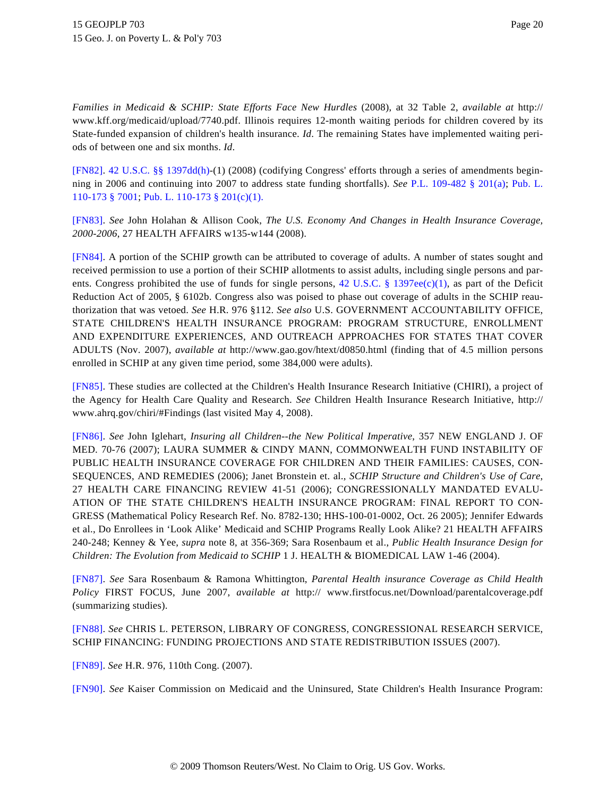*Families in Medicaid & SCHIP: State Efforts Face New Hurdles* (2008), at 32 Table 2, *available at* http:// www.kff.org/medicaid/upload/7740.pdf. Illinois requires 12-month waiting periods for children covered by its State-funded expansion of children's health insurance. *Id*. The remaining States have implemented waiting periods of between one and six months. *Id*.

<span id="page-19-0"></span>[\[FN82\]](#page-5-5). [42 U.S.C. §§ 1397dd\(h](http://www.westlaw.com/Find/Default.wl?rs=dfa1.0&vr=2.0&DB=1000546&DocName=42USCAS1397DD&FindType=L&ReferencePositionType=T&ReferencePosition=SP_f383000077b35))-(1) (2008) (codifying Congress' efforts through a series of amendments beginning in 2006 and continuing into 2007 to address state funding shortfalls). *See* [P.L. 109-482 § 201\(a](http://www.westlaw.com/Find/Default.wl?rs=dfa1.0&vr=2.0&DB=1077005&DocName=UU%28I32D386C0A6-6611DBBFBCF-6FB1CB750A2%29&FindType=l)); [Pub. L.](http://www.westlaw.com/Find/Default.wl?rs=dfa1.0&vr=2.0&DB=1077005&DocName=UU%28IF20FA160BD-5611DC992AE-23106BA27C5%29&FindType=l) [110-173 § 7001](http://www.westlaw.com/Find/Default.wl?rs=dfa1.0&vr=2.0&DB=1077005&DocName=UU%28IF20FA160BD-5611DC992AE-23106BA27C5%29&FindType=l); [Pub. L. 110-173 § 201\(c\)\(1\)](http://www.westlaw.com/Find/Default.wl?rs=dfa1.0&vr=2.0&DB=1077005&DocName=UU%28IF20FA160BD-5611DC992AE-23106BA27C5%29&FindType=l).

<span id="page-19-1"></span>[\[FN83\]](#page-5-6). *See* John Holahan & Allison Cook, *The U.S. Economy And Changes in Health Insurance Coverage, 2000-2006*, 27 HEALTH AFFAIRS w135-w144 (2008).

<span id="page-19-2"></span>[\[FN84\]](#page-5-7). A portion of the SCHIP growth can be attributed to coverage of adults. A number of states sought and received permission to use a portion of their SCHIP allotments to assist adults, including single persons and par-ents. Congress prohibited the use of funds for single persons, [42 U.S.C. § 1397ee\(c\)\(1](http://www.westlaw.com/Find/Default.wl?rs=dfa1.0&vr=2.0&DB=1000546&DocName=42USCAS1397EE&FindType=L&ReferencePositionType=T&ReferencePosition=SP_10c0000001331)), as part of the Deficit Reduction Act of 2005, § 6102b. Congress also was poised to phase out coverage of adults in the SCHIP reauthorization that was vetoed. *See* H.R. 976 §112. *See also* U.S. GOVERNMENT ACCOUNTABILITY OFFICE, STATE CHILDREN'S HEALTH INSURANCE PROGRAM: PROGRAM STRUCTURE, ENROLLMENT AND EXPENDITURE EXPERIENCES, AND OUTREACH APPROACHES FOR STATES THAT COVER ADULTS (Nov. 2007), *available at* http://www.gao.gov/htext/d0850.html (finding that of 4.5 million persons enrolled in SCHIP at any given time period, some 384,000 were adults).

<span id="page-19-3"></span>[\[FN85\]](#page-6-0). These studies are collected at the Children's Health Insurance Research Initiative (CHIRI), a project of the Agency for Health Care Quality and Research. *See* Children Health Insurance Research Initiative, http:// www.ahrq.gov/chiri/#Findings (last visited May 4, 2008).

<span id="page-19-4"></span>[\[FN86\]](#page-6-1). *See* John Iglehart, *Insuring all Children--the New Political Imperative*, 357 NEW ENGLAND J. OF MED. 70-76 (2007); LAURA SUMMER & CINDY MANN, COMMONWEALTH FUND INSTABILITY OF PUBLIC HEALTH INSURANCE COVERAGE FOR CHILDREN AND THEIR FAMILIES: CAUSES, CON-SEQUENCES, AND REMEDIES (2006); Janet Bronstein et. al., *SCHIP Structure and Children's Use of Care*, 27 HEALTH CARE FINANCING REVIEW 41-51 (2006); CONGRESSIONALLY MANDATED EVALU-ATION OF THE STATE CHILDREN'S HEALTH INSURANCE PROGRAM: FINAL REPORT TO CON-GRESS (Mathematical Policy Research Ref. No. 8782-130; HHS-100-01-0002, Oct. 26 2005); Jennifer Edwards et al., Do Enrollees in 'Look Alike' Medicaid and SCHIP Programs Really Look Alike? 21 HEALTH AFFAIRS 240-248; Kenney & Yee, *supra* note 8, at 356-369; Sara Rosenbaum et al., *Public Health Insurance Design for Children: The Evolution from Medicaid to SCHIP* 1 J. HEALTH & BIOMEDICAL LAW 1-46 (2004).

<span id="page-19-5"></span>[\[FN87\]](#page-6-2). *See* Sara Rosenbaum & Ramona Whittington, *Parental Health insurance Coverage as Child Health Policy* FIRST FOCUS, June 2007, *available at* http:// www.firstfocus.net/Download/parentalcoverage.pdf (summarizing studies).

<span id="page-19-6"></span>[\[FN88\]](#page-6-3). *See* CHRIS L. PETERSON, LIBRARY OF CONGRESS, CONGRESSIONAL RESEARCH SERVICE, SCHIP FINANCING: FUNDING PROJECTIONS AND STATE REDISTRIBUTION ISSUES (2007).

<span id="page-19-7"></span>[\[FN89\]](#page-6-4). *See* H.R. 976, 110th Cong. (2007).

<span id="page-19-8"></span>[\[FN90\]](#page-6-5). *See* Kaiser Commission on Medicaid and the Uninsured, State Children's Health Insurance Program: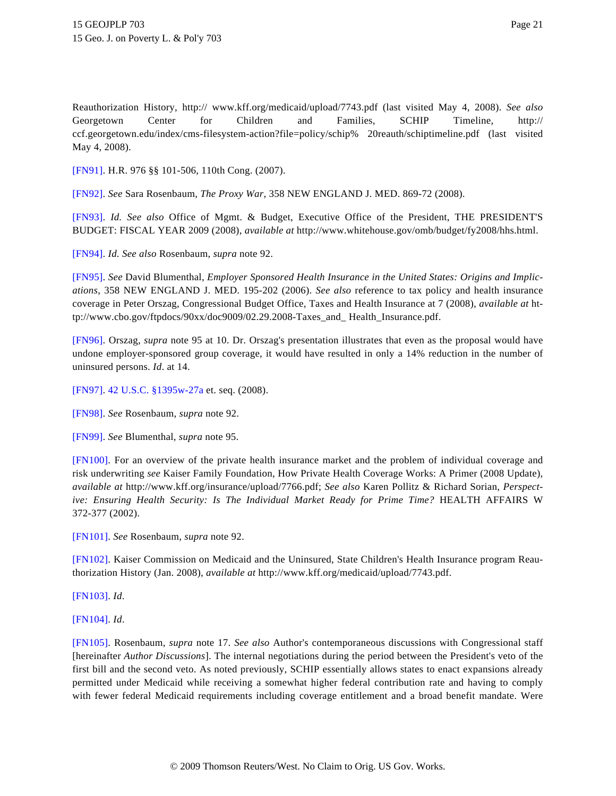Reauthorization History, http:// www.kff.org/medicaid/upload/7743.pdf (last visited May 4, 2008). *See also* Georgetown Center for Children and Families, SCHIP Timeline, http:// ccf.georgetown.edu/index/cms-filesystem-action?file=policy/schip% 20reauth/schiptimeline.pdf (last visited May 4, 2008).

<span id="page-20-0"></span>[\[FN91\]](#page-6-6). H.R. 976 §§ 101-506, 110th Cong. (2007).

<span id="page-20-1"></span>[\[FN92\]](#page-6-7). *See* Sara Rosenbaum, *The Proxy War*, 358 NEW ENGLAND J. MED. 869-72 (2008).

<span id="page-20-2"></span>[\[FN93\]](#page-6-8). *Id. See also* Office of Mgmt. & Budget, Executive Office of the President, THE PRESIDENT'S BUDGET: FISCAL YEAR 2009 (2008), *available at* http://www.whitehouse.gov/omb/budget/fy2008/hhs.html.

<span id="page-20-3"></span>[\[FN94\]](#page-7-0). *Id. See also* Rosenbaum, *supra* note 92.

<span id="page-20-4"></span>[\[FN95\]](#page-7-1). *See* David Blumenthal, *Employer Sponsored Health Insurance in the United States: Origins and Implications*, 358 NEW ENGLAND J. MED. 195-202 (2006). *See also* reference to tax policy and health insurance coverage in Peter Orszag, Congressional Budget Office, Taxes and Health Insurance at 7 (2008), *available at* http://www.cbo.gov/ftpdocs/90xx/doc9009/02.29.2008-Taxes\_and\_ Health\_Insurance.pdf.

<span id="page-20-5"></span>[\[FN96\]](#page-7-2). Orszag, *supra* note 95 at 10. Dr. Orszag's presentation illustrates that even as the proposal would have undone employer-sponsored group coverage, it would have resulted in only a 14% reduction in the number of uninsured persons. *Id*. at 14.

<span id="page-20-6"></span>[\[FN97\]](#page-7-3). [42 U.S.C. §1395w-27a](http://www.westlaw.com/Find/Default.wl?rs=dfa1.0&vr=2.0&DB=1000546&DocName=42USCAS1395W-27A&FindType=L) et. seq. (2008).

<span id="page-20-7"></span>[\[FN98\]](#page-7-4). *See* Rosenbaum, *supra* note 92.

<span id="page-20-8"></span>[\[FN99\]](#page-7-5). *See* Blumenthal, *supra* note 95.

<span id="page-20-9"></span>[\[FN100\]](#page-7-6). For an overview of the private health insurance market and the problem of individual coverage and risk underwriting *see* Kaiser Family Foundation, How Private Health Coverage Works: A Primer (2008 Update), *available at* http://www.kff.org/insurance/upload/7766.pdf; *See also* Karen Pollitz & Richard Sorian, *Perspective: Ensuring Health Security: Is The Individual Market Ready for Prime Time?* HEALTH AFFAIRS W 372-377 (2002).

<span id="page-20-10"></span>[\[FN101\]](#page-7-7). *See* Rosenbaum, *supra* note 92.

<span id="page-20-11"></span>[\[FN102\]](#page-7-8). Kaiser Commission on Medicaid and the Uninsured, State Children's Health Insurance program Reauthorization History (Jan. 2008), *available at* http://www.kff.org/medicaid/upload/7743.pdf.

<span id="page-20-12"></span>[\[FN103\]](#page-7-9). *Id*.

<span id="page-20-13"></span>[\[FN104\]](#page-7-9). *Id*.

<span id="page-20-14"></span>[\[FN105\]](#page-7-10). Rosenbaum, *supra* note 17. *See also* Author's contemporaneous discussions with Congressional staff [hereinafter *Author Discussions*]. The internal negotiations during the period between the President's veto of the first bill and the second veto. As noted previously, SCHIP essentially allows states to enact expansions already permitted under Medicaid while receiving a somewhat higher federal contribution rate and having to comply with fewer federal Medicaid requirements including coverage entitlement and a broad benefit mandate. Were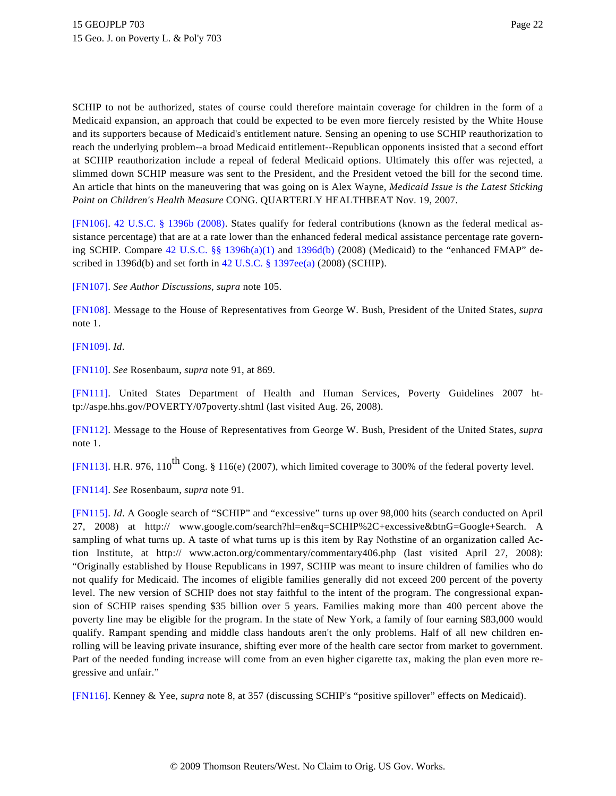SCHIP to not be authorized, states of course could therefore maintain coverage for children in the form of a Medicaid expansion, an approach that could be expected to be even more fiercely resisted by the White House and its supporters because of Medicaid's entitlement nature. Sensing an opening to use SCHIP reauthorization to reach the underlying problem--a broad Medicaid entitlement--Republican opponents insisted that a second effort at SCHIP reauthorization include a repeal of federal Medicaid options. Ultimately this offer was rejected, a slimmed down SCHIP measure was sent to the President, and the President vetoed the bill for the second time. An article that hints on the maneuvering that was going on is Alex Wayne, *Medicaid Issue is the Latest Sticking Point on Children's Health Measure* CONG. QUARTERLY HEALTHBEAT Nov. 19, 2007.

<span id="page-21-0"></span>[\[FN106\]](#page-7-11). [42 U.S.C. § 1396b \(2008](http://www.westlaw.com/Find/Default.wl?rs=dfa1.0&vr=2.0&DB=1000546&DocName=42USCAS1396B&FindType=L)). States qualify for federal contributions (known as the federal medical assistance percentage) that are at a rate lower than the enhanced federal medical assistance percentage rate governing SCHIP. Compare [42 U.S.C. §§ 1396b\(a\)\(1](http://www.westlaw.com/Find/Default.wl?rs=dfa1.0&vr=2.0&DB=1000546&DocName=42USCAS1396B&FindType=L&ReferencePositionType=T&ReferencePosition=SP_7b9b000044381)) and [1396d\(b\)](http://www.westlaw.com/Find/Default.wl?rs=dfa1.0&vr=2.0&DB=1000546&DocName=42USCAS1396D&FindType=L&ReferencePositionType=T&ReferencePosition=SP_a83b000018c76) (2008) (Medicaid) to the "enhanced FMAP" described in 1396d(b) and set forth in [42 U.S.C. § 1397ee\(a\)](http://www.westlaw.com/Find/Default.wl?rs=dfa1.0&vr=2.0&DB=1000546&DocName=42USCAS1397EE&FindType=L&ReferencePositionType=T&ReferencePosition=SP_8b3b0000958a4) (2008) (SCHIP).

<span id="page-21-1"></span>[\[FN107\]](#page-7-12). *See Author Discussions, supra* note 105.

<span id="page-21-2"></span>[\[FN108\]](#page-7-13). Message to the House of Representatives from George W. Bush, President of the United States, *supra* note 1.

<span id="page-21-3"></span>[\[FN109\]](#page-7-14). *Id*.

<span id="page-21-4"></span>[\[FN110\]](#page-7-15). *See* Rosenbaum, *supra* note 91, at 869.

<span id="page-21-5"></span>[\[FN111\]](#page-7-16). United States Department of Health and Human Services, Poverty Guidelines 2007 http://aspe.hhs.gov/POVERTY/07poverty.shtml (last visited Aug. 26, 2008).

<span id="page-21-6"></span>[\[FN112\]](#page-7-16). Message to the House of Representatives from George W. Bush, President of the United States, *supra* note 1.

<span id="page-21-7"></span>[\[FN113\]](#page-8-0). H.R. 976, 110<sup>th</sup> Cong. § 116(e) (2007), which limited coverage to 300% of the federal poverty level.

<span id="page-21-8"></span>[\[FN114\]](#page-8-1). *See* Rosenbaum, *supra* note 91.

<span id="page-21-9"></span>[\[FN115\]](#page-8-2). *Id*. A Google search of "SCHIP" and "excessive" turns up over 98,000 hits (search conducted on April 27, 2008) at http:// www.google.com/search?hl=en&q=SCHIP%2C+excessive&btnG=Google+Search. A sampling of what turns up. A taste of what turns up is this item by Ray Nothstine of an organization called Action Institute, at http:// www.acton.org/commentary/commentary406.php (last visited April 27, 2008): "Originally established by House Republicans in 1997, SCHIP was meant to insure children of families who do not qualify for Medicaid. The incomes of eligible families generally did not exceed 200 percent of the poverty level. The new version of SCHIP does not stay faithful to the intent of the program. The congressional expansion of SCHIP raises spending \$35 billion over 5 years. Families making more than 400 percent above the poverty line may be eligible for the program. In the state of New York, a family of four earning \$83,000 would qualify. Rampant spending and middle class handouts aren't the only problems. Half of all new children enrolling will be leaving private insurance, shifting ever more of the health care sector from market to government. Part of the needed funding increase will come from an even higher cigarette tax, making the plan even more regressive and unfair."

<span id="page-21-10"></span>[\[FN116\]](#page-8-3). Kenney & Yee, *supra* note 8, at 357 (discussing SCHIP's "positive spillover" effects on Medicaid).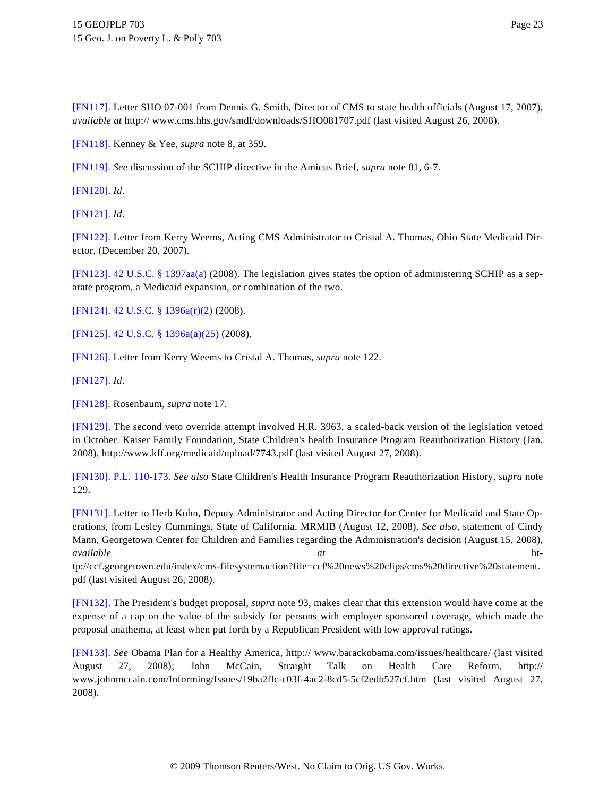<span id="page-22-0"></span>[\[FN117\]](#page-8-4). Letter SHO 07-001 from Dennis G. Smith, Director of CMS to state health officials (August 17, 2007), *available at* http:// www.cms.hhs.gov/smdl/downloads/SHO081707.pdf (last visited August 26, 2008).

<span id="page-22-1"></span>[\[FN118\]](#page-8-5). Kenney & Yee, *supra* note 8, at 359.

<span id="page-22-2"></span>[\[FN119\]](#page-8-6). *See* discussion of the SCHIP directive in the Amicus Brief, *supra* note 81, 6-7.

<span id="page-22-3"></span>[\[FN120\]](#page-8-7). *Id*.

<span id="page-22-4"></span>[\[FN121\]](#page-8-8). *Id*.

<span id="page-22-5"></span>[\[FN122\]](#page-8-9). Letter from Kerry Weems, Acting CMS Administrator to Cristal A. Thomas, Ohio State Medicaid Director, (December 20, 2007).

<span id="page-22-6"></span>[\[FN123\]](#page-8-10). [42 U.S.C. § 1397aa\(a\)](http://www.westlaw.com/Find/Default.wl?rs=dfa1.0&vr=2.0&DB=1000546&DocName=42USCAS1397AA&FindType=L&ReferencePositionType=T&ReferencePosition=SP_8b3b0000958a4) (2008). The legislation gives states the option of administering SCHIP as a separate program, a Medicaid expansion, or combination of the two.

<span id="page-22-7"></span>[\[FN124\]](#page-8-11). [42 U.S.C. § 1396a\(r\)\(2\)](http://www.westlaw.com/Find/Default.wl?rs=dfa1.0&vr=2.0&DB=1000546&DocName=42USCAS1396A&FindType=L&ReferencePositionType=T&ReferencePosition=SP_97200000bd010) (2008).

<span id="page-22-8"></span>[\[FN125\]](#page-8-12). [42 U.S.C. § 1396a\(a\)\(25\)](http://www.westlaw.com/Find/Default.wl?rs=dfa1.0&vr=2.0&DB=1000546&DocName=42USCAS1396A&FindType=L&ReferencePositionType=T&ReferencePosition=SP_fd76000067cd6) (2008).

<span id="page-22-9"></span>[\[FN126\]](#page-9-0). Letter from Kerry Weems to Cristal A. Thomas, *supra* note 122.

<span id="page-22-10"></span>[\[FN127\]](#page-9-1). *Id*.

<span id="page-22-11"></span>[\[FN128\]](#page-9-2). Rosenbaum, *supra* note 17.

<span id="page-22-12"></span>[\[FN129\]](#page-9-3). The second veto override attempt involved H.R. 3963, a scaled-back version of the legislation vetoed in October. Kaiser Family Foundation, State Children's health Insurance Program Reauthorization History (Jan. 2008), http://www.kff.org/medicaid/upload/7743.pdf (last visited August 27, 2008).

<span id="page-22-13"></span>[\[FN130\]](#page-9-4). [P.L. 110-173](http://www.westlaw.com/Find/Default.wl?rs=dfa1.0&vr=2.0&DB=1077005&DocName=UU%28IF20FA160BD-5611DC992AE-23106BA27C5%29&FindType=l). *See also* State Children's Health Insurance Program Reauthorization History, *supra* note 129.

<span id="page-22-14"></span>[\[FN131\]](#page-9-5). Letter to Herb Kuhn, Deputy Administrator and Acting Director for Center for Medicaid and State Operations, from Lesley Cummings, State of California, MRMIB (August 12, 2008). *See also*, statement of Cindy Mann, Georgetown Center for Children and Families regarding the Administration's decision (August 15, 2008), *available at* http://ccf.georgetown.edu/index/cms-filesystemaction?file=ccf%20news%20clips/cms%20directive%20statement.

pdf (last visited August 26, 2008).

<span id="page-22-15"></span>[\[FN132\]](#page-10-0). The President's budget proposal, *supra* note 93, makes clear that this extension would have come at the expense of a cap on the value of the subsidy for persons with employer sponsored coverage, which made the proposal anathema, at least when put forth by a Republican President with low approval ratings.

<span id="page-22-16"></span>[\[FN133\]](#page-10-1). *See* Obama Plan for a Healthy America, http:// www.barackobama.com/issues/healthcare/ (last visited August 27, 2008); John McCain, Straight Talk on Health Care Reform, http:// www.johnmccain.com/Informing/Issues/19ba2flc-c03f-4ac2-8cd5-5cf2edb527cf.htm (last visited August 27, 2008).